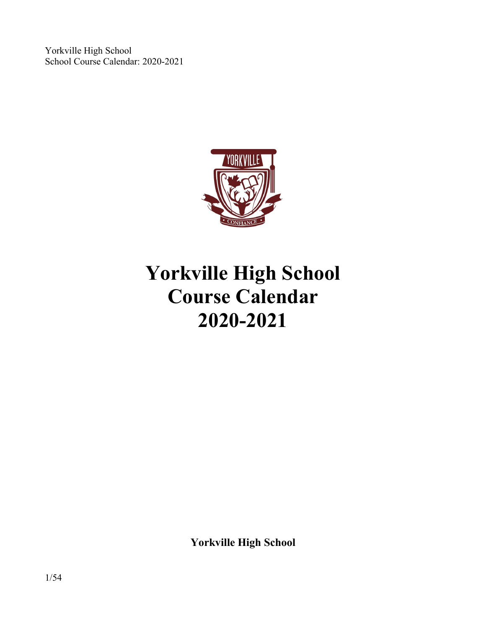

# **Yorkville High School Course Calendar 2020-2021**

**Yorkville High School**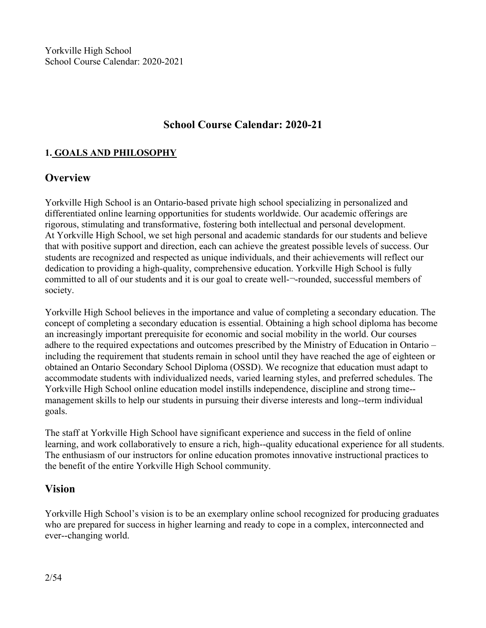# **School Course Calendar: 2020-21**

# **1. GOALS AND PHILOSOPHY**

# **Overview**

Yorkville High School is an Ontario-based private high school specializing in personalized and differentiated online learning opportunities for students worldwide. Our academic offerings are rigorous, stimulating and transformative, fostering both intellectual and personal development. At Yorkville High School, we set high personal and academic standards for our students and believe that with positive support and direction, each can achieve the greatest possible levels of success. Our students are recognized and respected as unique individuals, and their achievements will reflect our dedication to providing a high-quality, comprehensive education. Yorkville High School is fully committed to all of our students and it is our goal to create well-¬-rounded, successful members of society.

Yorkville High School believes in the importance and value of completing a secondary education. The concept of completing a secondary education is essential. Obtaining a high school diploma has become an increasingly important prerequisite for economic and social mobility in the world. Our courses adhere to the required expectations and outcomes prescribed by the Ministry of Education in Ontario – including the requirement that students remain in school until they have reached the age of eighteen or obtained an Ontario Secondary School Diploma (OSSD). We recognize that education must adapt to accommodate students with individualized needs, varied learning styles, and preferred schedules. The Yorkville High School online education model instills independence, discipline and strong time-‐ management skills to help our students in pursuing their diverse interests and long--term individual goals.

The staffat Yorkville High School have significant experience and success in the field of online learning, and work collaboratively to ensure a rich, high--quality educational experience for all students. The enthusiasm of our instructors for online education promotes innovative instructional practices to the benefit of the entire Yorkville High School community.

#### **Vision**

Yorkville High School's vision is to be an exemplary online school recognized for producing graduates who are prepared for success in higher learning and ready to cope in a complex, interconnected and ever-‐changing world.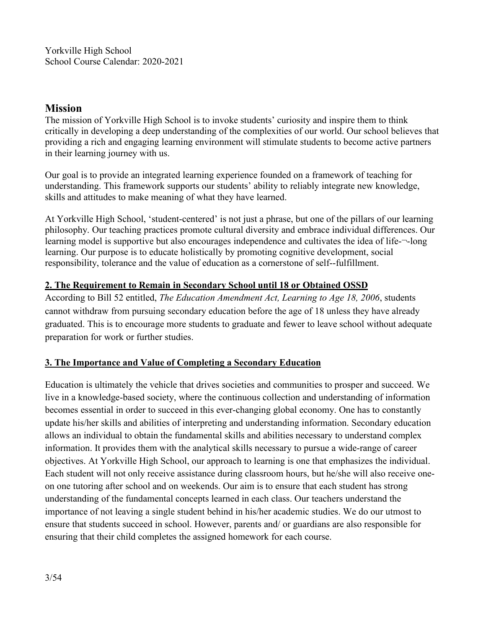# **Mission**

The mission of Yorkville High School is to invoke students' curiosity and inspire them to think critically in developing a deep understanding of the complexities of our world. Our school believes that providing a rich and engaging learning environment will stimulate students to become active partners in their learning journey with us.

Our goal is to provide an integrated learning experience founded on a framework of teaching for understanding. This framework supports our students' ability to reliably integrate new knowledge, skills and attitudes to make meaning of what they have learned.

At Yorkville High School, 'student-centered' is not just a phrase, but one of the pillars of our learning philosophy. Our teaching practices promote cultural diversity and embrace individual differences. Our learning model is supportive but also encourages independence and cultivates the idea of life-¬‐long learning. Our purpose is to educate holistically by promoting cognitive development, social responsibility, tolerance and the value of education as a cornerstone of self-‐fulfillment.

#### **2. The Requirement to Remain in Secondary School until 18 or Obtained OSSD**

According to Bill 52 entitled, *The Education Amendment Act, Learning to Age 18, 2006*, students cannot withdraw from pursuing secondary education before the age of 18 unless they have already graduated. This is to encourage more students to graduate and fewer to leave school without adequate preparation for work or further studies.

#### **3. The Importance and Value of Completing a Secondary Education**

Education is ultimately the vehicle that drives societies and communities to prosperand succeed. We live in a knowledge-based society, where the continuous collection and understanding of information becomes essential in order to succeed in this ever-changing global economy. One has to constantly update his/her skills and abilities of interpreting and understanding information. Secondary education allows an individual to obtain the fundamental skills and abilities necessary to understand complex information. It provides them with the analytical skills necessary to pursue a wide-range of career objectives. At Yorkville High School, our approach to learning is one that emphasizes the individual. Each student will not only receive assistance during classroom hours, but he/she will also receive one-on one tutoring after school and on weekends. Our aim is to ensure that each student has strong understanding of the fundamental concepts learned in each class. Our teachers understand the importance of not leaving a single student behind in his/her academic studies. We do our utmost to ensure that students succeed in school. However, parents and/ or guardians are also responsible for ensuring that their child completes the assigned homework for each course.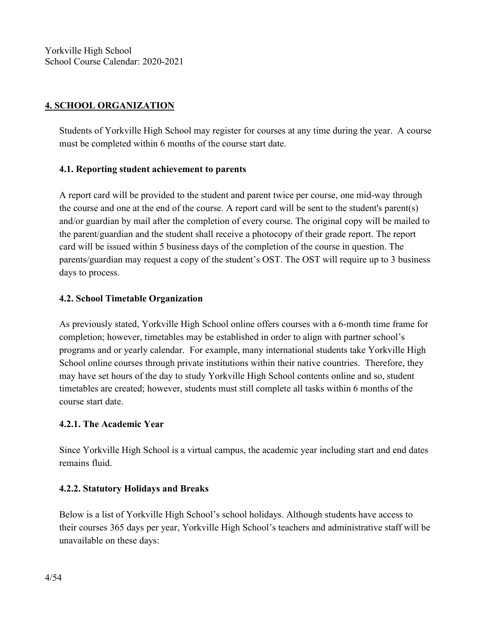# **4. SCHOOL ORGANIZATION**

Students of Yorkville High School may register for courses at any time during the year. A course must be completed within 6 months of the course start date.

#### **4.1. Reporting student achievement to parents**

A report card will be provided to the student and parent twice per course, one mid-way through the course and one at the end of the course. A report card will be sent to the student's parent(s) and/or guardian by mail after the completion of every course. The original copy will be mailed to the parent/guardian and the student shall receive a photocopy of their grade report. The report card will be issued within 5 business days of the completion of the course in question. The parents/guardian may request a copy of the student's OST. The OST will require up to 3 business days to process.

# **4.2. School Timetable Organization**

As previously stated, Yorkville High School online offers courses with a 6-month time frame for completion; however, timetables may be established in order to align with partner school's programs and or yearly calendar. For example, many international students take Yorkville High School online courses through private institutions within their native countries. Therefore, they may have set hours of the day to study Yorkville High School contents online and so, student timetables are created; however, students must still complete all tasks within 6 months of the course start date.

#### **4.2.1. The Academic Year**

Since Yorkville High School is a virtual campus, the academic year including start and end dates remains fluid.

# **4.2.2. Statutory Holidays and Breaks**

Below is a listof Yorkville High School's school holidays. Although students have access to their courses 365 days per year, Yorkville High School's teachers and administrative staff will be unavailable on these days: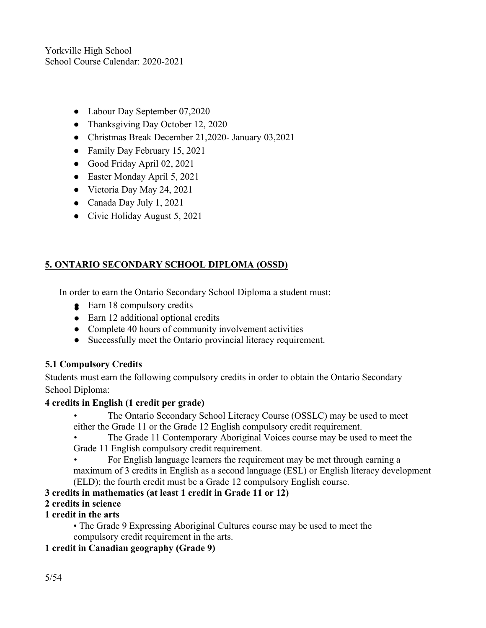- Labour Day September 07,2020
- Thanksgiving Day October 12, 2020
- Christmas Break December 21,2020- January 03,2021
- Family Day February 15, 2021
- Good Friday April 02, 2021
- Easter Monday April 5, 2021
- Victoria Day May 24, 2021
- Canada Day July 1, 2021
- $\bullet$  Civic Holiday August 5, 2021

# **5. ONTARIO SECONDARY SCHOOL DIPLOMA (OSSD)**

In order to earn the Ontario Secondary School Diploma a student must:

- **8** Earn 18 compulsory credits
- Earn 12 additional optional credits
- Complete 40 hours of community involvement activities
- Successfully meet the Ontario provincial literacy requirement.

# **5.1 Compulsory Credits**

Students must earn the following compulsory credits in order to obtain the Ontario Secondary School Diploma:

#### **4 credits in English (1credit per grade)**

• The Ontario Secondary School Literacy Course (OSSLC) may be used to meet either the Grade 11 or the Grade 12 English compulsory credit requirement.

The Grade 11 Contemporary Aboriginal Voices course may be used to meet the Grade 11 English compulsory credit requirement.

• For English language learners the requirement may be met through earning a maximum of 3 credits in English as a second language (ESL) or English literacy development (ELD); the fourth credit must be a Grade 12 compulsory English course.

# **3 credits in mathematics (at least 1 credit in Grade 11 or 12)**

# **2 credits in science**

# **1 credit in the arts**

• The Grade 9 Expressing Aboriginal Cultures course may be used to meet the compulsory credit requirement in the arts.

# **1 credit in Canadian geography (Grade 9)**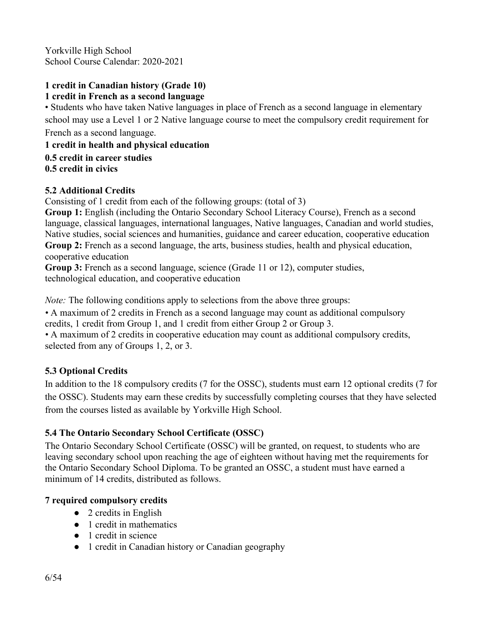#### **1 credit in Canadian history (Grade 10) 1 credit in French as a second language**

• Students who have taken Native languages in place of French as a second language in elementary school may use a Level 1 or 2 Native language course to meet the compulsory credit requirement for French as a second language.

**1 credit in health and physical education**

**0.5 credit in career studies**

**0.5 credit in civics**

# **5.2 Additional Credits**

Consisting of 1 credit from each of the following groups: (total of 3)

**Group 1:** English (including the Ontario Secondary School Literacy Course), French as a second language, classical languages, international languages, Native languages, Canadian and world studies, Native studies, social sciences and humanities, guidance and career education, cooperative education **Group 2:** French as a second language, the arts, business studies, health and physical education, cooperative education

**Group 3:** French as a second language, science (Grade 11 or 12), computer studies, technological education, and cooperative education

*Note:* The following conditions apply to selections from the above three groups:

• A maximum of 2 credits in French as a second language may count as additional compulsory credits, 1 credit from Group 1, and 1 credit from either Group 2 or Group 3.

• A maximum of 2 credits in cooperative education may count as additional compulsory credits, selected from any of Groups 1, 2, or 3.

# **5.3 Optional Credits**

In addition to the 18 compulsory credits (7 for the OSSC), students must earn 12 optional credits (7 for the OSSC). Students may earn these credits by successfully completing courses that they have selected from the courses listed as available by Yorkville High School.

# **5.4 The Ontario Secondary School Certificate (OSSC)**

The Ontario Secondary School Certificate (OSSC) will be granted, on request, to students who are leaving secondary school upon reaching the age of eighteen without having met the requirements for the Ontario Secondary School Diploma. To be granted an OSSC, a student must have earned a minimum of 14 credits, distributed as follows.

# **7 required compulsory credits**

- 2 credits in English
- 1 credit in mathematics
- 1 credit in science
- 1 credit in Canadian history or Canadian geography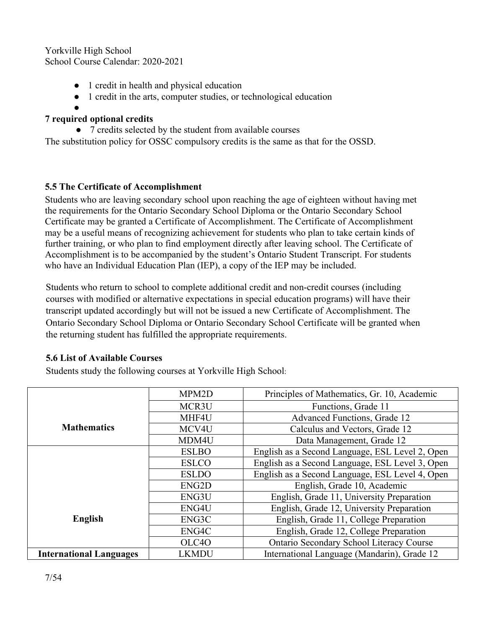- 1 credit in health and physical education
- 1 credit in the arts, computer studies, or technological education

#### ● **7 required optional credits**

• 7 credits selected by the student from available courses The substitution policy for OSSC compulsory credits is the same as that for the OSSD.

# **5.5 The Certificate of Accomplishment**

Students who are leaving secondary school upon reaching the age of eighteen without having met the requirements for the Ontario Secondary School Diploma or the Ontario Secondary School Certificate may be granted a Certificate of Accomplishment. The Certificate of Accomplishment may be a useful means of recognizing achievement for students who plan to take certain kinds of further training, or who plan to find employment directly after leaving school. The Certificate of Accomplishment is to be accompanied by the student's Ontario Student Transcript. For students who have an Individual Education Plan (IEP), a copy of the IEP may be included.

Students who return to school to complete additional credit and non-credit courses (including courses with modified or alternative expectations in special education programs) will have their transcript updated accordingly but will not be issued a new Certificate of Accomplishment. The Ontario Secondary School Diploma or Ontario Secondary School Certificate will be granted when the returning student has fulfilled the appropriate requirements.

#### **5.6 List of Available Courses**

Students study the following courses at Yorkville High School:

|                                | MPM2D              | Principles of Mathematics, Gr. 10, Academic     |
|--------------------------------|--------------------|-------------------------------------------------|
|                                | MCR3U              | Functions, Grade 11                             |
|                                | MHF4U              | <b>Advanced Functions, Grade 12</b>             |
| <b>Mathematics</b>             | MCV4U              | Calculus and Vectors, Grade 12                  |
|                                | MDM4U              | Data Management, Grade 12                       |
|                                | <b>ESLBO</b>       | English as a Second Language, ESL Level 2, Open |
|                                | <b>ESLCO</b>       | English as a Second Language, ESL Level 3, Open |
|                                | <b>ESLDO</b>       | English as a Second Language, ESL Level 4, Open |
|                                | ENG <sub>2</sub> D | English, Grade 10, Academic                     |
|                                | ENG3U              | English, Grade 11, University Preparation       |
|                                | ENG4U              | English, Grade 12, University Preparation       |
| English                        | ENG3C              | English, Grade 11, College Preparation          |
|                                | ENG4C              | English, Grade 12, College Preparation          |
|                                | OLC4O              | Ontario Secondary School Literacy Course        |
| <b>International Languages</b> | <b>LKMDU</b>       | International Language (Mandarin), Grade 12     |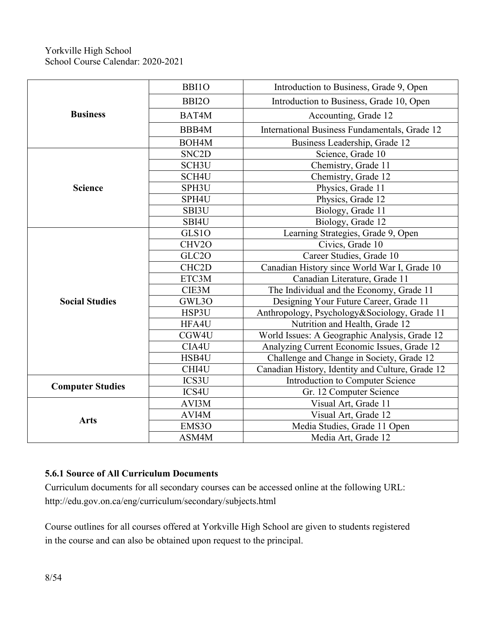| <b>Business</b>         | <b>BBI10</b>       | Introduction to Business, Grade 9, Open          |
|-------------------------|--------------------|--------------------------------------------------|
|                         | BBI <sub>20</sub>  | Introduction to Business, Grade 10, Open         |
|                         | BAT4M              | Accounting, Grade 12                             |
|                         | BBB4M              | International Business Fundamentals, Grade 12    |
|                         | BOH4M              | Business Leadership, Grade 12                    |
|                         | SNC <sub>2</sub> D | Science, Grade 10                                |
|                         | SCH <sub>3</sub> U | Chemistry, Grade 11                              |
|                         | SCH4U              | Chemistry, Grade 12                              |
| <b>Science</b>          | SPH3U              | Physics, Grade 11                                |
|                         | SPH4U              | Physics, Grade 12                                |
|                         | SBI3U              | Biology, Grade 11                                |
|                         | SBI4U              | Biology, Grade 12                                |
|                         | GLS10              | Learning Strategies, Grade 9, Open               |
|                         | CHV2O              | Civics, Grade 10                                 |
|                         | GLC2O              | Career Studies, Grade 10                         |
|                         | CHC <sub>2</sub> D | Canadian History since World War I, Grade 10     |
|                         | ETC3M              | Canadian Literature, Grade 11                    |
|                         | CIE3M              | The Individual and the Economy, Grade 11         |
| <b>Social Studies</b>   | GWL3O              | Designing Your Future Career, Grade 11           |
|                         | HSP3U              | Anthropology, Psychology&Sociology, Grade 11     |
|                         | HFA4U              | Nutrition and Health, Grade 12                   |
|                         | CGW4U              | World Issues: A Geographic Analysis, Grade 12    |
|                         | CIA4U              | Analyzing Current Economic Issues, Grade 12      |
|                         | HSB4U              | Challenge and Change in Society, Grade 12        |
|                         | CHI4U              | Canadian History, Identity and Culture, Grade 12 |
| <b>Computer Studies</b> | ICS3U              | Introduction to Computer Science                 |
|                         | ICS4U              | Gr. 12 Computer Science                          |
|                         | AVI3M              | Visual Art, Grade 11                             |
| <b>Arts</b>             | AVI4M              | Visual Art, Grade 12                             |
|                         | EMS3O              | Media Studies, Grade 11 Open                     |
|                         | ASM4M              | Media Art, Grade 12                              |

# **5.6.1 Source of All Curriculum Documents**

Curriculum documents for all secondary courses can be accessed online at the following URL: http://edu.gov.on.ca/eng/curriculum/secondary/subjects.html

Course outlines for all courses offered at Yorkville High School are given to students registered in the course and can also be obtained upon request to the principal.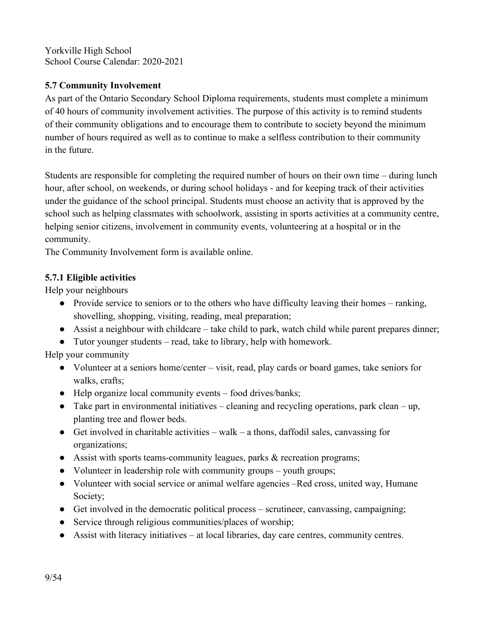# **5.7 Community Involvement**

As part of the Ontario Secondary School Diploma requirements, students must complete a minimum of 40 hours of community involvement activities. The purpose of this activity is to remind students of their community obligations and to encourage them to contribute to society beyond the minimum number of hours required as well as to continue to make a selfless contribution to their community in the future.

Students are responsible for completing the required number of hours on their own time – during lunch hour, after school, on weekends, or during school holidays - and for keeping track of their activities under the guidance of the school principal. Students must choose an activity that is approved by the school such as helping classmates with schoolwork, assisting in sports activities at a community centre, helping senior citizens, involvement in community events, volunteering at a hospital or in the community.

The Community Involvement form is available online.

# **5.7.1 Eligible activities**

Help your neighbours

- Provide service to seniors or to the others who have difficulty leaving their homes ranking, shovelling, shopping, visiting, reading, meal preparation;
- Assist a neighbour with childcare take child to park, watch child while parent prepares dinner;
- Tutor younger students read, take to library, help with homework. Help your community

- Volunteer at a seniors home/center visit, read, play cards or board games, take seniors for walks, crafts;
- Help organize local community events food drives/banks;
- $\bullet$  Take part in environmental initiatives cleaning and recycling operations, park clean up, planting tree and flower beds.
- Get involved in charitable activities walk a thons, daffodil sales, canvassing for organizations;
- Assist with sports teams-community leagues, parks & recreation programs;
- Volunteer in leadership role with community groups youth groups;
- Volunteer with social service or animal welfare agencies –Red cross, united way, Humane Society;
- Get involved in the democratic political process scrutineer, canvassing, campaigning;
- Service through religious communities/places of worship;
- Assist with literacy initiatives at local libraries, day care centres, community centres.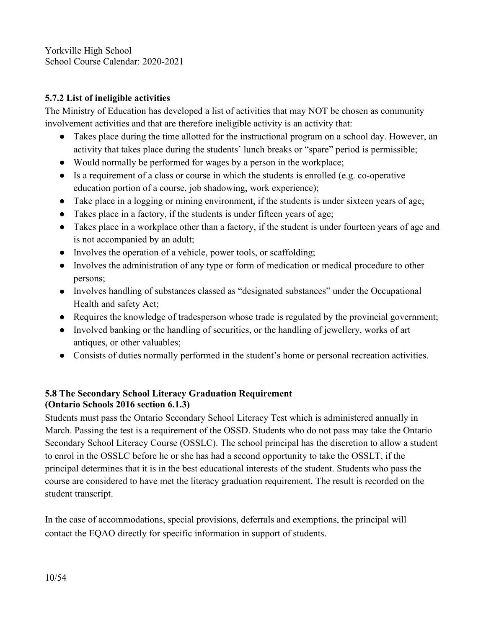#### **5.7.2 List of ineligible activities**

The Ministry of Education has developed a list of activities that may NOT be chosen as community involvement activities and that are therefore ineligible activity is an activity that:

- Takes place during the time allotted for the instructional program on a school day. However, an activity that takes place during the students' lunch breaks or "spare" period is permissible;
- Would normally be performed for wages by a person in the workplace;
- Is a requirement of a class or course in which the students is enrolled (e.g. co-operative education portion of a course, job shadowing, work experience);
- $\bullet$  Take place in a logging or mining environment, if the students is under sixteen years of age;
- Takes place in a factory, if the students is under fifteen years of age;
- Takes place in a workplace other than a factory, if the student is under fourteen years of age and is not accompanied by an adult;
- Involves the operation of a vehicle, power tools, or scaffolding;
- Involves the administration of any type or form of medication or medical procedure to other persons;
- Involves handling of substances classed as "designated substances" under the Occupational Health and safety Act;
- Requires the knowledge of tradesperson whose trade is regulated by the provincial government;
- Involved banking or the handling of securities, or the handling of jewellery, works of art antiques, or other valuables;
- Consists of duties normally performed in the student's home or personal recreation activities.

# **5.8 The Secondary School Literacy Graduation Requirement (Ontario Schools 2016 section 6.1.3)**

Students must pass the Ontario Secondary School Literacy Test which is administered annually in March. Passing the test is a requirement of the OSSD. Students who do not pass may take the Ontario Secondary School Literacy Course (OSSLC). The school principal has the discretion to allow a student to enrol in the OSSLC before he or she has had a second opportunity to take the OSSLT, if the principal determines that it is in the best educational interests of the student. Students who pass the course are considered to have met the literacy graduation requirement. The result is recorded on the student transcript.

In the case of accommodations, special provisions, deferrals and exemptions, the principal will contact the EQAO directly for specific information in support of students.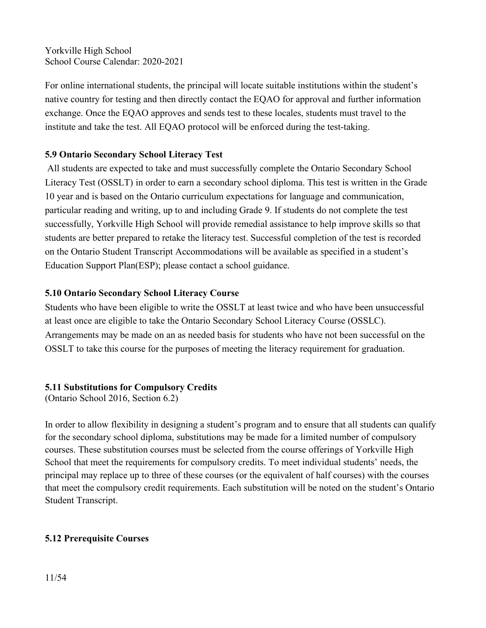For online international students, the principal will locate suitable institutions within the student's native country for testing and then directly contact the EQAO for approval and further information exchange. Once the EQAO approves and sends test to these locales, students must travel to the institute and take the test. All EQAO protocol will be enforced during the test-taking.

#### **5.9 Ontario Secondary School Literacy Test**

All students are expected to take and must successfully complete the Ontario Secondary School Literacy Test (OSSLT) in order to earn a secondary school diploma. This test is written in the Grade 10 year and is based on the Ontario curriculum expectations for language and communication, particular reading and writing, up to and including Grade 9. If students do not complete the test successfully, Yorkville High School will provide remedial assistance to help improve skills so that students are better prepared to retake the literacy test. Successful completion of the test is recorded on the Ontario Student Transcript Accommodations will be available as specified in a student's Education Support Plan(ESP); please contact a school guidance.

# **5.10 Ontario Secondary School Literacy Course**

Students who have been eligible to write the OSSLT at least twice and who have been unsuccessful at least once are eligible to take the Ontario Secondary School Literacy Course (OSSLC). Arrangements may be made on an as needed basis for students who have not been successful on the OSSLT to take this course for the purposes of meeting the literacy requirement for graduation.

#### **5.11 Substitutions for Compulsory Credits**

(Ontario School 2016, Section 6.2)

In order to allow flexibility in designing a student's program and to ensure that all students can qualify for the secondary school diploma, substitutions may be made for a limited number of compulsory courses. These substitution courses must be selected from the course offerings of Yorkville High School that meet the requirements for compulsory credits. To meet individual students' needs, the principal may replace up to three of these courses (or the equivalent of half courses) with the courses that meet the compulsory credit requirements. Each substitution will be noted on the student's Ontario Student Transcript.

# **5.12 Prerequisite Courses**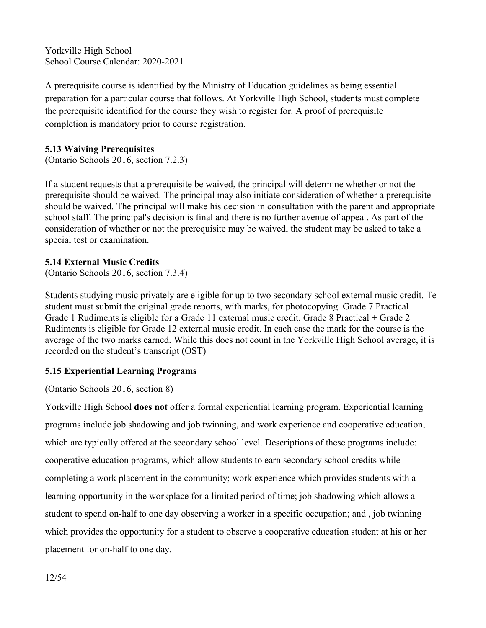A prerequisite course is identified by the Ministry of Education guidelines as being essential preparation for a particular course that follows. At Yorkville High School, students must complete the prerequisite identified for the course they wish to register for. A proof of prerequisite completion is mandatory prior to course registration.

#### **5.13 Waiving Prerequisites**

(Ontario Schools 2016, section 7.2.3)

If a student requests that a prerequisite be waived, the principal will determine whether or not the prerequisite should be waived. The principal may also initiate consideration of whether a prerequisite should be waived. The principal will make his decision in consultation with the parent and appropriate school staff. The principal's decision is finaland there is no further avenue of appeal. As part of the consideration of whether or not the prerequisite may be waived, the student may be asked to take a special test or examination.

#### **5.14 External Music Credits**

(Ontario Schools 2016, section 7.3.4)

Students studying music privately are eligible for up to two secondary school external music credit. Te student must submit the original grade reports, with marks, for photocopying. Grade 7 Practical + Grade 1 Rudiments is eligible for a Grade 11 external music credit. Grade 8 Practical + Grade 2 Rudiments is eligible for Grade 12 external music credit. In each case the mark for the course is the average of the two marks earned. While this does not count in the Yorkville High School average, it is recorded on the student's transcript (OST)

#### **5.15 Experiential Learning Programs**

(Ontario Schools 2016, section 8)

Yorkville High School **does not** offer a formal experiential learning program. Experiential learning programs include job shadowing and job twinning, and work experience and cooperative education, which are typically offered at the secondary school level. Descriptions of these programs include: cooperative education programs, which allow students to earn secondary school credits while completing a work placement in the community; work experience which provides students with a learning opportunity in the workplace for a limited period of time; job shadowing which allows a student to spend on-half to one day observing a worker in a specific occupation; and , job twinning which provides the opportunity for a student to observe a cooperative education student at his or her placement for on-half to one day.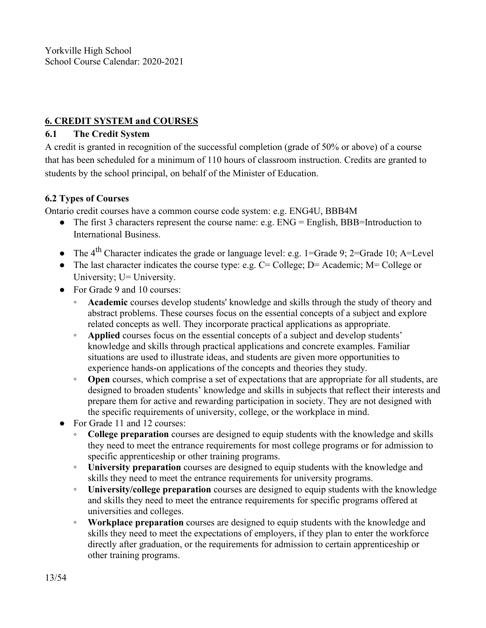# **6. CREDIT SYSTEM and COURSES**

# **6.1 The Credit System**

A credit is granted in recognition of the successful completion (grade of 50% or above) of a course that has been scheduled for a minimum of 110 hours of classroom instruction. Credits are granted to students by the school principal, on behalf of the Minister of Education.

# **6.2 Types ofCourses**

Ontario credit courses have a common course code system: e.g. ENG4U, BBB4M

- The first 3 characters represent the course name: e.g. ENG = English, BBB=Introduction to International Business.
- The  $4^{\text{th}}$  Character indicates the grade or language level: e.g. 1=Grade 9; 2=Grade 10; A=Level
- The last character indicates the course type: e.g.  $C =$  College;  $D =$  Academic;  $M =$  College or University; U= University.
- For Grade 9 and 10 courses:
	- **Academic** courses develop students' knowledge and skills through the study of theory and abstract problems. These courses focus on the essential concepts of a subject and explore related concepts as well. They incorporate practical applications as appropriate.
	- **Applied** courses focus on the essential concepts of a subject and develop students' knowledge and skills through practical applications and concrete examples. Familiar situations are used to illustrate ideas, and students are given more opportunities to experience hands-on applications of the concepts and theories they study.
	- **Open** courses, which comprise a set of expectations that are appropriate for all students, are designed to broaden students' knowledge and skills in subjects that reflect their interests and prepare them for active and rewarding participation in society. They are not designed with the specific requirements of university, college, or the workplace in mind.
- For Grade 11 and 12 courses:
	- **College preparation** courses are designed to equip students with the knowledge and skills they need to meet the entrance requirements for most college programs or for admission to specific apprenticeship or other training programs.
	- **University preparation** courses are designed to equip students with the knowledge and skills they need to meet the entrance requirements for university programs.
	- **University/college preparation** courses are designed to equip students with the knowledge and skills they need to meet the entrance requirements for specific programs offered at universities and colleges.
	- **Workplace preparation** courses are designed to equip students with the knowledge and skills they need to meet the expectations of employers, if they plan to enter the workforce directly after graduation, or the requirements for admission to certain apprenticeship or other training programs.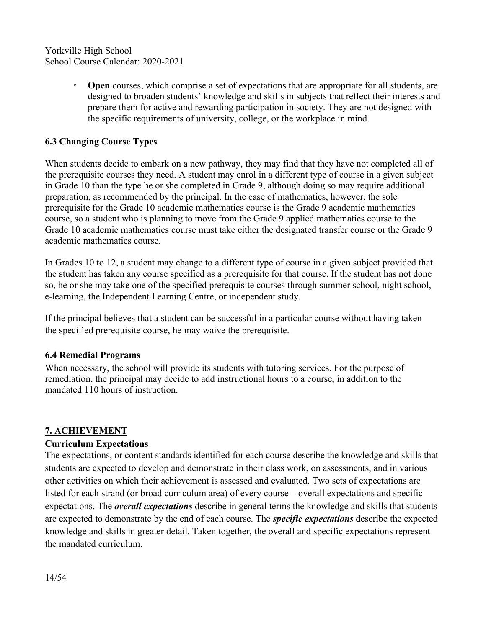**Open** courses, which comprise a set of expectations that are appropriate for all students, are designed to broaden students' knowledge and skills in subjects that reflect their interests and prepare them for active and rewarding participation in society. They are not designed with the specific requirements of university, college, or the workplace in mind.

# **6.3 Changing Course Types**

When students decide to embark on a new pathway, they may find that they have not completed all of the prerequisite courses they need. A student may enrol in a different type of course in a given subject in Grade 10 than the type he or she completed in Grade 9, although doing so may require additional preparation, as recommended by the principal. In the case of mathematics, however, the sole prerequisite for the Grade 10 academic mathematics course is the Grade 9 academic mathematics course, so a student who is planning to move from the Grade 9 applied mathematics course to the Grade 10 academic mathematics course must take either the designated transfer course or the Grade 9 academic mathematics course.

In Grades 10 to 12, a student may change to a different type of course in a given subject provided that the student has taken any course specified as a prerequisite for that course. If the student has not done so, he or she may take one of the specified prerequisite courses through summer school, night school, e-learning, the Independent Learning Centre, or independent study.

If the principal believes that a student can be successful in a particular course without having taken the specified prerequisite course, he may waive the prerequisite.

#### **6.4 RemedialPrograms**

When necessary, the school will provide its students with tutoring services. For the purpose of remediation, the principal may decide to add instructional hours to a course, in addition to the mandated 110 hours of instruction.

#### **7. ACHIEVEMENT**

#### **Curriculum Expectations**

The expectations, or content standards identified for each course describe the knowledge and skills that students are expected to develop and demonstrate in their class work, on assessments, and in various other activities on which their achievement is assessed and evaluated. Two sets of expectations are listed for each strand (or broad curriculum area) of every course – overall expectations and specific expectations. The *overall expectations* describe in general terms the knowledge and skills that students are expected to demonstrate by the end of each course. The *specific expectations* describe the expected knowledge and skills in greater detail. Taken together, the overall and specific expectations represent the mandated curriculum.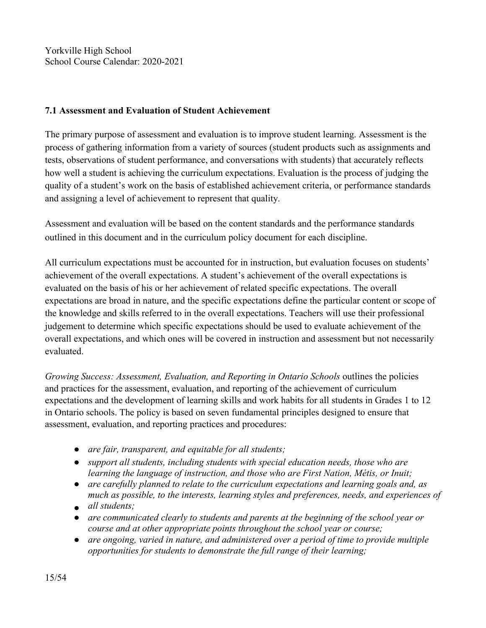#### **7.1 Assessment and Evaluation of Student Achievement**

The primary purpose of assessment and evaluation is to improve student learning. Assessment is the process of gathering information from a variety of sources (student products such as assignments and tests, observations of student performance, and conversations with students) that accurately reflects how well a student is achieving the curriculum expectations. Evaluation is the process of judging the quality of a student's work on the basis of established achievement criteria, or performance standards and assigning a level of achievement to represent that quality.

Assessment and evaluation will be based on the content standards and the performance standards outlined in this document and in the curriculum policy document for each discipline.

All curriculum expectations must be accounted for in instruction, but evaluation focuses on students' achievement of the overall expectations. A student's achievement of the overall expectations is evaluated on the basis of his or her achievement of related specific expectations. The overall expectations are broad in nature, and the specific expectations define the particular content or scope of the knowledge and skills referred to in the overall expectations. Teachers will use their professional judgement to determine which specific expectations should be used to evaluate achievement of the overall expectations, and which ones will be covered in instruction and assessment but not necessarily evaluated.

*Growing Success: Assessment, Evaluation, and Reporting in Ontario Schools* outlines the policies and practices for the assessment, evaluation, and reporting of the achievement of curriculum expectations and the development of learning skills and work habits for all students in Grades 1 to 12 in Ontario schools. The policy is based on seven fundamental principles designed to ensure that assessment, evaluation, and reporting practices and procedures:

- *are fair, transparent, and equitable for all students;*
- *support all students, including students with special education needs, those who are learning the language of instruction, and those who are First Nation, Métis, or Inuit;*
- *are carefully planned to relate to the curriculum expectations and learning goals and, as much as possible, to the interests, learning styles and preferences, needs, and experiences of*
- *all students;*
- *are communicated clearly to students and parents atthe beginning of the school year or course and at other appropriate points throughout the school year or course;*
- *are ongoing, varied in nature, and administered over a period of time to provide multiple opportunities for students to demonstrate the full range of their learning;*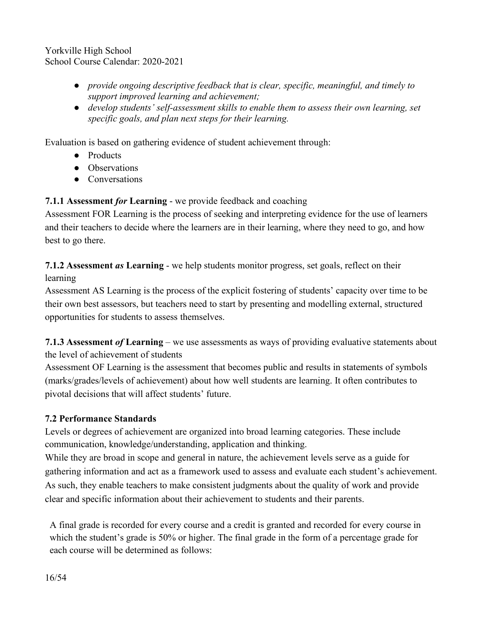- *provide ongoing descriptive feedback that is clear, specific, meaningful, and timely to support improved learning and achievement;*
- *develop students' self-assessment skills to enable them to assess their own learning, set specific goals, and plan next steps for their learning.*

Evaluation is based on gathering evidence of student achievement through:

- Products
- Observations
- Conversations

**7.1.1 Assessment** *for* **Learning** - we provide feedback and coaching

Assessment FOR Learning is the process of seeking and interpreting evidence for the use of learners and their teachers to decide where the learners are in their learning, where they need to go, and how best to go there.

**7.1.2 Assessment** *as* **Learning** - we help students monitor progress, set goals, reflect on their learning

Assessment AS Learning is the process of the explicit fostering of students' capacity over time to be their own best assessors, but teachers need to start by presenting and modelling external, structured opportunities for students to assess themselves.

**7.1.3 Assessment of Learning** – we use assessments as ways of providing evaluative statements about the level of achievement of students

Assessment OF Learning is the assessment that becomes public and results in statements of symbols (marks/grades/levels ofachievement) about how well students are learning. It often contributes to pivotal decisions that will affect students' future.

# **7.2 Performance Standards**

Levels or degrees of achievement are organized into broad learning categories. These include communication, knowledge/understanding, application and thinking.

While they are broad in scope and general in nature, the achievement levels serve as a guide for gathering information and act as a framework used to assess and evaluate each student's achievement. As such, they enable teachers to make consistent judgments about the quality of work and provide clear and specific information about their achievement to students and their parents.

A final grade is recorded for every course and a credit is granted and recorded for every course in which the student's grade is 50% or higher. The final grade in the form of a percentage grade for each course will be determined as follows: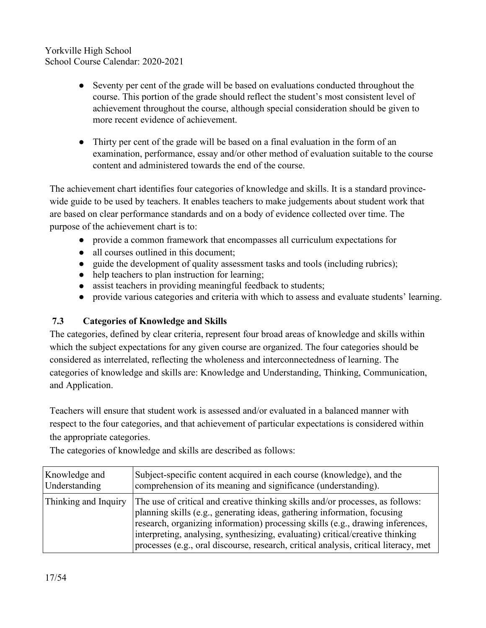- Seventy per cent of the grade will be based on evaluations conducted throughout the course. This portion of the grade should reflect the student's most consistent level of achievement throughout the course, although special consideration should be given to more recent evidence of achievement.
- Thirty per cent of the grade will be based on a final evaluation in the form of an examination, performance, essay and/or other method of evaluation suitable to the course content and administered towards the end of the course.

The achievement chart identifies four categories of knowledge and skills. It is a standard provincewide guide to be used by teachers. It enables teachers to make judgements about student work that are based on clear performance standards and on a body of evidence collected over time. The purpose of the achievement chart is to:

- provide a common framework that encompasses all curriculum expectations for
- all courses outlined in this document;
- guide the development of quality assessment tasks and tools (including rubrics);
- help teachers to plan instruction for learning;
- assist teachers in providing meaningful feedback to students;
- provide various categories and criteria with which to assess and evaluate students' learning.

# **7.3 Categories ofKnowledge and Skills**

The categories, defined by clear criteria, represent four broad areas of knowledge and skills within which the subject expectations for any given course are organized. The four categories should be considered as interrelated, reflecting the wholeness and interconnectedness of learning. The categories of knowledge and skills are: Knowledge and Understanding, Thinking, Communication, and Application.

Teachers will ensure that student work is assessed and/or evaluated in a balanced manner with respect to the four categories, and that achievement of particular expectations is considered within the appropriate categories.

The categories of knowledge and skills are described as follows:

| Knowledge and        | Subject-specific content acquired in each course (knowledge), and the                                                                                                                                                                                                                                                                                                                                                 |  |
|----------------------|-----------------------------------------------------------------------------------------------------------------------------------------------------------------------------------------------------------------------------------------------------------------------------------------------------------------------------------------------------------------------------------------------------------------------|--|
| Understanding        | comprehension of its meaning and significance (understanding).                                                                                                                                                                                                                                                                                                                                                        |  |
| Thinking and Inquiry | The use of critical and creative thinking skills and/or processes, as follows:<br>planning skills (e.g., generating ideas, gathering information, focusing<br>research, organizing information) processing skills (e.g., drawing inferences,<br>interpreting, analysing, synthesizing, evaluating) critical/creative thinking<br>processes (e.g., oral discourse, research, critical analysis, critical literacy, met |  |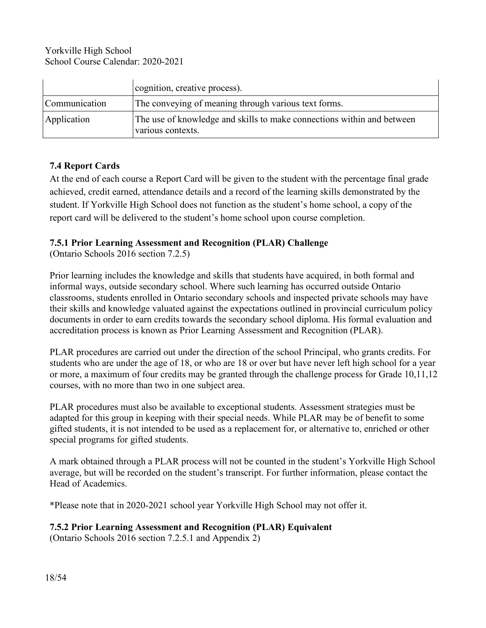|               | cognition, creative process).                                                               |  |
|---------------|---------------------------------------------------------------------------------------------|--|
| Communication | The conveying of meaning through various text forms.                                        |  |
| Application   | The use of knowledge and skills to make connections within and between<br>various contexts. |  |

#### **7.4 ReportCards**

At the end of each course a Report Card will be given to the student with the percentage final grade achieved, credit earned, attendance details and a record of the learning skills demonstrated by the student. If Yorkville High School does not function as the student's home school, a copy of the report card will be delivered to the student's home school upon course completion.

#### **7.5.1 Prior Learning Assessment and Recognition (PLAR) Challenge**

(Ontario Schools 2016 section 7.2.5)

Prior learning includes the knowledge and skills that students have acquired, in both formal and informal ways, outside secondary school. Where such learning has occurred outside Ontario classrooms, students enrolled in Ontario secondary schools and inspected private schools may have their skills and knowledge valuated against the expectations outlined in provincial curriculum policy documents in order to earn credits towards the secondary school diploma. His formal evaluation and accreditation process is known as Prior Learning Assessment and Recognition (PLAR).

PLAR procedures are carried out under the direction of the school Principal, who grants credits. For students who are under the age of 18, or who are 18 or over but have never left high school for a year or more, a maximum of four credits may be granted through the challenge process for Grade 10,11,12 courses, with no more than two in one subject area.

PLAR procedures must also be available to exceptional students. Assessment strategies must be adapted for this group in keeping with their special needs. While PLAR may be of benefit to some gifted students, it is not intended to be used as a replacement for, or alternative to, enriched or other special programs for gifted students.

A mark obtained through a PLAR process will not be counted in the student's Yorkville High School average, but will be recorded on the student's transcript. For further information, please contact the Head of Academics.

\*Please note that in 2020-2021 school year Yorkville High School may not offer it.

#### **7.5.2 Prior Learning Assessment and Recognition (PLAR) Equivalent**

(Ontario Schools 2016 section 7.2.5.1 and Appendix 2)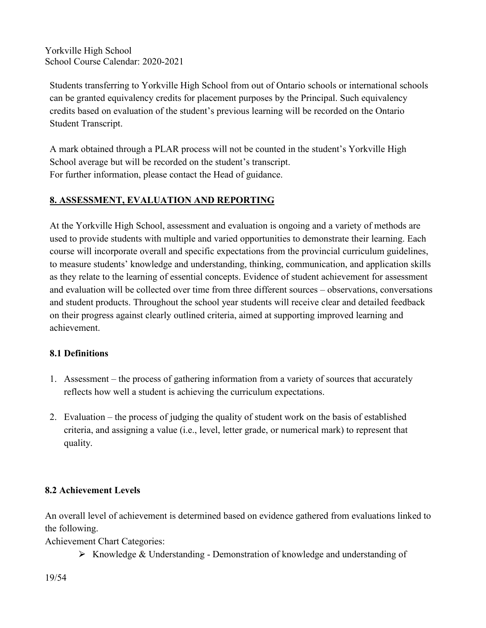Students transferring to Yorkville High School from out of Ontario schools or international schools can be granted equivalency credits for placement purposes by the Principal. Such equivalency credits based on evaluation of the student's previous learning will be recorded on the Ontario Student Transcript.

A mark obtained through a PLAR process will not be counted in the student's Yorkville High School average but will be recorded on the student's transcript. For further information, please contact the Head of guidance.

# **8. ASSESSMENT, EVALUATION AND REPORTING**

At the Yorkville High School, assessment and evaluation is ongoing and a variety of methods are used to provide students with multiple and varied opportunities to demonstrate their learning. Each course will incorporate overall and specific expectations from the provincial curriculum guidelines, to measure students' knowledge and understanding, thinking, communication, and application skills as they relate to the learning of essential concepts. Evidence of student achievement for assessment and evaluation will be collected over time from three different sources – observations, conversations and student products. Throughout the school year students will receive clear and detailed feedback on their progress against clearly outlined criteria, aimed at supporting improved learning and achievement.

# **8.1 Definitions**

- 1. Assessment the process of gathering information from a variety of sources that accurately reflects how well a student is achieving the curriculum expectations.
- 2. Evaluation the process of judging the quality of student work on the basis of established criteria, and assigning a value (i.e., level, letter grade, or numerical mark) to represent that quality.

# **8.2 Achievement Levels**

An overall level of achievement is determined based on evidence gathered from evaluations linked to the following.

Achievement Chart Categories:

 $\triangleright$  Knowledge & Understanding - Demonstration of knowledge and understanding of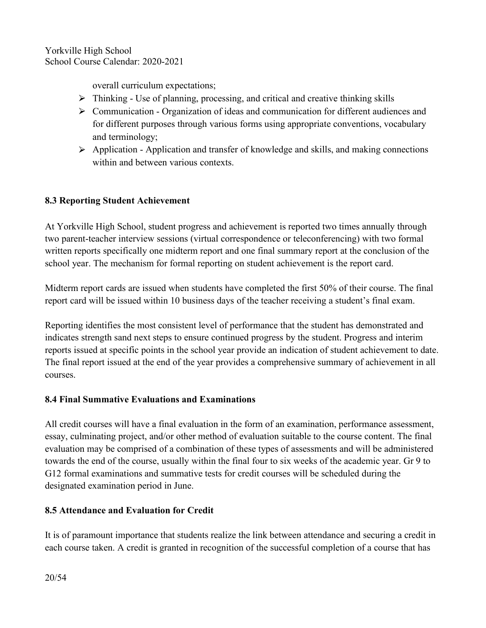overall curriculum expectations;

- $\triangleright$  Thinking Use of planning, processing, and critical and creative thinking skills
- ⮚ Communication Organization of ideas and communication for different audiences and for different purposes through various forms using appropriate conventions, vocabulary and terminology;
- $\triangleright$  Application Application and transfer of knowledge and skills, and making connections within and between various contexts.

# **8.3 Reporting Student Achievement**

At Yorkville High School, student progress and achievement is reported two times annually through two parent-teacher interview sessions (virtual correspondence or teleconferencing) with two formal written reports specifically one midterm report and one final summary report at the conclusion of the school year. The mechanism for formal reporting on student achievement is the report card.

Midterm report cards are issued when students have completed the first 50% of their course. The final report card will be issued within 10 business days of the teacher receiving a student's final exam.

Reporting identifies the most consistent level of performance that the student has demonstrated and indicates strength sand next steps to ensure continued progress by the student. Progress and interim reports issued at specific points in the school year provide an indication of student achievement to date. The final report issued at the end of the year provides a comprehensive summary of achievement in all courses.

# **8.4 Final Summative Evaluations and Examinations**

All credit courses will have a final evaluation in the form of an examination, performance assessment, essay, culminating project, and/or other method of evaluation suitable to the course content. The final evaluation may be comprised of a combination of these types of assessments and will be administered towards the end of the course, usually within the final four to six weeks of the academic year. Gr 9 to G12 formal examinations and summative tests for credit courses will be scheduled during the designated examination period in June.

# **8.5 Attendance and Evaluation for Credit**

It is of paramount importance that students realize the link between attendance and securing a credit in each course taken. A credit is granted in recognition of the successful completion of a course that has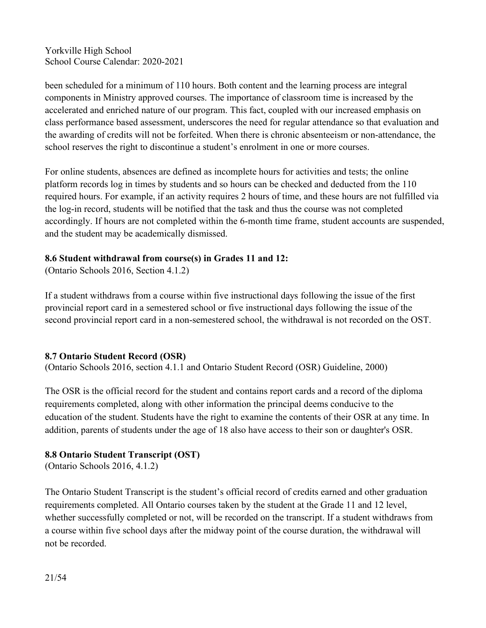been scheduled for a minimum of 110 hours. Both content and the learning process are integral components in Ministry approved courses. The importance of classroom time is increased by the accelerated and enriched nature of our program. This fact, coupled with our increased emphasis on class performance based assessment, underscores the need for regular attendance so that evaluation and the awarding of credits will not be forfeited. When there is chronic absenteeism or non-attendance, the school reserves the right to discontinue a student's enrolment in one or more courses.

For online students, absences are defined as incomplete hours for activities and tests; the online platform records log in times by students and so hours can be checked and deducted from the 110 required hours. For example, if an activity requires 2 hours of time, and these hours are not fulfilled via the log-in record, students will be notified that the task and thus the course was not completed accordingly. If hours are not completed within the 6-month time frame, student accounts are suspended, and the student may be academically dismissed.

# **8.6 Student withdrawal from course(s) in Grades 11 and 12:**

(Ontario Schools 2016, Section 4.1.2)

If a student withdraws from a course within five instructional days following the issue of the first provincial report card in a semestered school or five instructional days following the issue of the second provincial report card in a non-semestered school, the withdrawal is not recorded on the OST.

#### **8.7 Ontario Student Record (OSR)**

(Ontario Schools 2016, section 4.1.1 and Ontario Student Record (OSR) Guideline, 2000)

The OSR is the official record for the student and contains report cards and a record of the diploma requirements completed, along with other information the principal deems conducive to the education of the student. Students have the right to examine the contents of their OSR at any time. In addition, parents of students under the age of 18 also have access to their son or daughter's OSR.

# **8.8 Ontario Student Transcript (OST)**

(Ontario Schools 2016, 4.1.2)

The Ontario Student Transcript is the student's official record of credits earned and other graduation requirements completed. All Ontario courses taken by the student at the Grade 11 and 12 level, whether successfully completed or not, will be recorded on the transcript. If a student withdraws from a course within five school days after the midway point of the course duration, the withdrawal will not be recorded.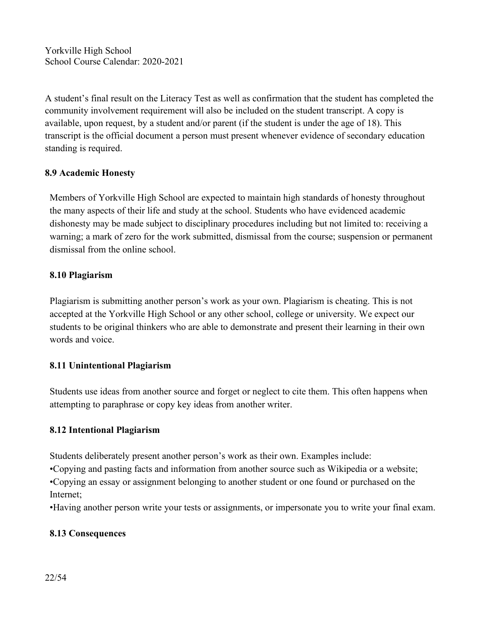A student's final result on the Literacy Test as well as confirmation that the student has completed the community involvement requirement will also be included on the student transcript. A copy is available, upon request, by a student and/or parent (if the student is under the age of  $18$ ). This transcript is the official document a person must present whenever evidence of secondary education standing is required.

# **8.9 Academic Honesty**

Members of Yorkville High School are expected to maintain high standards of honesty throughout the many aspects of their life and study at the school. Students who have evidenced academic dishonesty may be made subject to disciplinary procedures including but not limited to: receiving a warning; a mark of zero for the work submitted, dismissal from the course; suspension or permanent dismissal from the online school.

#### **8.10 Plagiarism**

Plagiarism is submitting another person's work as your own. Plagiarism is cheating. This is not accepted at the Yorkville High School or any other school, college or university. We expect our students to be original thinkers who are able to demonstrate and present their learning in their own words and voice.

#### **8.11 Unintentional Plagiarism**

Students use ideas from another source and forget or neglect to cite them. This often happens when attempting to paraphrase or copy key ideas from another writer.

#### **8.12 Intentional Plagiarism**

Students deliberately present another person's work as their own. Examples include:

•Copying and pasting facts and information from another source such as Wikipedia or a website; •Copying an essay or assignment belonging to another student or one found or purchased on the

Internet;

•Having another person write your tests or assignments, or impersonate you to write your final exam.

# **8.13 Consequences**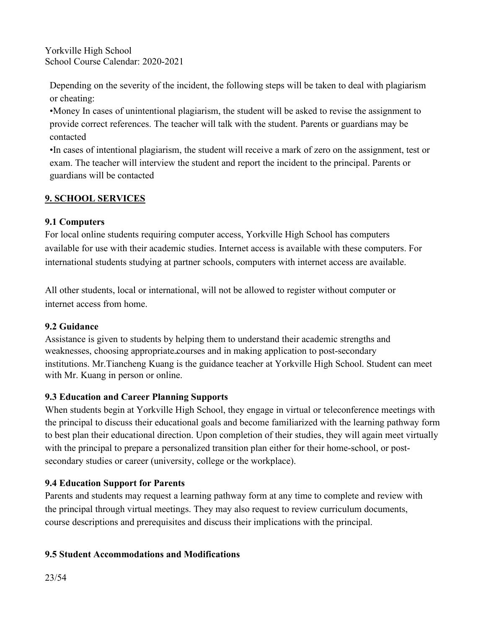Depending on the severity of the incident, the following steps will be taken to deal with plagiarism or cheating:

•Money In cases of unintentional plagiarism, the student will be asked to revise the assignment to provide correct references. The teacher will talk with the student. Parents or guardians may be contacted

•In cases of intentional plagiarism, the student will receive a mark of zero on the assignment, test or exam. The teacher will interview the student and report the incident to the principal. Parents or guardians will be contacted

# **9. SCHOOL SERVICES**

# **9.1 Computers**

For local online students requiring computer access, Yorkville High School has computers available for use with their academic studies. Internet access is available with these computers. For international students studying at partner schools, computers with internet access are available.

All other students, local or international, will not be allowed to register without computer or internet access from home.

#### **9.2 Guidance**

Assistance is given to students by helping them to understand their academic strengths and weaknesses, choosing appropriate courses and in making application to post-secondary institutions. Mr.Tiancheng Kuang is the guidance teacher at Yorkville High School. Student can meet with Mr. Kuang in person or online.

# **9.3 Education and Career Planning Supports**

When students begin at Yorkville High School, they engage in virtual or teleconference meetings with the principal to discuss their educational goals and become familiarized with the learning pathway form to best plan their educational direction. Upon completion of their studies, they will again meet virtually with the principal to prepare a personalized transition plan either for their home-school, or post secondary studies or career (university, college or the workplace).

# **9.4 Education Support for Parents**

Parents and students may request a learning pathway form at any time to complete and review with the principal through virtual meetings. They may also request to review curriculum documents, course descriptions and prerequisites and discuss their implications with the principal.

# **9.5 Student Accommodations and Modifications**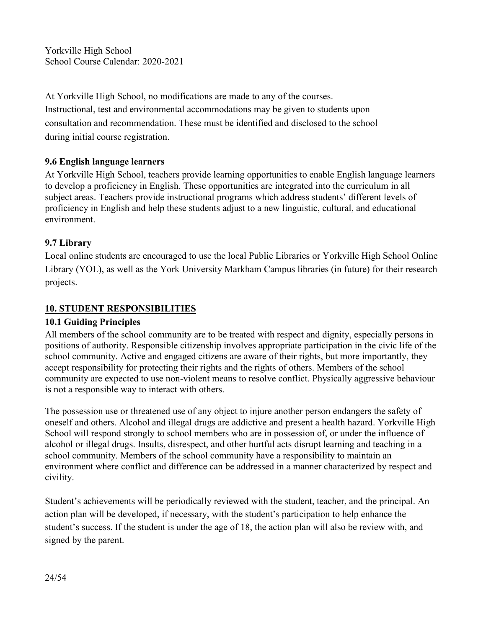At Yorkville High School, no modifications are made to any of the courses. Instructional, test and environmental accommodations may be given to students upon consultation and recommendation. These must be identified and disclosed to the school during initial course registration.

# **9.6 English language learners**

At Yorkville High School, teachers provide learning opportunities to enable English language learners to develop a proficiency in English. These opportunities are integrated into the curriculum in all subject areas. Teachers provide instructional programs which address students' different levels of proficiency in English and help these students adjust to a new linguistic, cultural, and educational environment.

# **9.7 Library**

Local online students are encouraged to use the local Public Libraries or Yorkville High School Online Library (YOL), as well as the York University Markham Campus libraries (in future) for their research projects.

# **10. STUDENT RESPONSIBILITIES**

#### **10.1 Guiding Principles**

All members of the school community are to be treated with respect and dignity, especially persons in positions of authority. Responsible citizenship involves appropriate participation in the civic life of the school community. Active and engaged citizens are aware of their rights, but more importantly, they accept responsibility for protecting their rights and the rights of others. Members of the school community are expected to use non-violent means to resolve conflict. Physically aggressive behaviour is not a responsible way to interact with others.

The possession use or threatened use of any object to injure another person endangers the safety of oneself and others. Alcohol and illegal drugs are addictive and present a health hazard. Yorkville High School will respond strongly to school members who are in possession of, or under the influence of alcohol or illegal drugs. Insults, disrespect, and other hurtful acts disrupt learning and teaching in a school community. Members of the school community have a responsibility to maintain an environment where conflict and difference can be addressed in a manner characterized by respect and civility.

Student's achievements will be periodically reviewed with the student, teacher, and the principal. An action plan will be developed, if necessary, with the student's participation to help enhance the student's success. If the student is under the age of 18, the action plan will also be review with, and signed by the parent.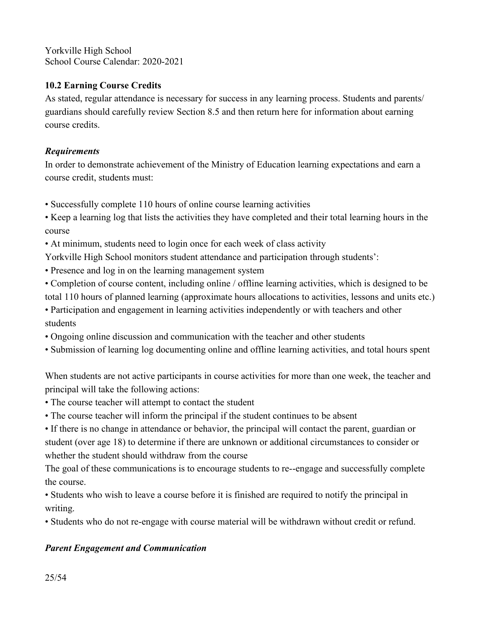# **10.2 Earning Course Credits**

As stated, regular attendance is necessary for success in any learning process. Students and parents/ guardians should carefully review Section 8.5 and then return here for information about earning course credits.

# *Requirements*

In order to demonstrate achievement of the Ministry of Education learning expectations and earn a course credit, students must:

- Successfully complete 110 hours of online course learning activities
- Keep a learning log that lists the activities they have completed and their total learning hours in the course
- At minimum, students need to login once for each week of class activity

Yorkville High School monitors student attendance and participation through students':

- Presence and log in on the learning management system
- Completion of course content, including online / offline learning activities, which is designed to be total 110 hours of planned learning (approximate hours allocations to activities, lessons and units etc.)
- Participation and engagement in learning activities independently or with teachers and other students
- Ongoing online discussion and communication with the teacher and other students
- Submission of learning log documenting online and offline learning activities, and total hours spent

When students are not active participants in course activities for more than one week, the teacher and principal will take the following actions:

- 
- The course teacher will attempt to contact the student<br>• The course teacher will inform the principal if the student continues to be absent

• If there is no change in attendance or behavior, the principal will contact the parent, guardian or student (over age 18) to determine if there are unknown or additional circumstances to consider or whether the student should withdraw from the course

The goal of these communications is to encourage students to re--engage and successfully complete the course.

• Students who wish to leave a course before it is finished are required to notify the principal in writing.

• Students who do not re-engage with course material will be withdrawn without credit or refund.

# *Parent Engagement and Communication*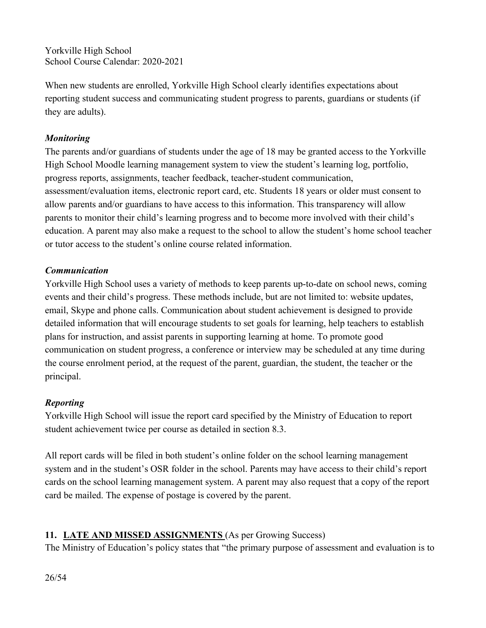When new students are enrolled, Yorkville High School clearly identifies expectations about reporting student success and communicating student progress to parents, guardians or students (if they are adults).

# *Monitoring*

The parents and/or guardians of students under the age of 18 may be granted access to the Yorkville High School Moodle learning management system to view the student's learning log, portfolio, progress reports, assignments, teacher feedback, teacher-student communication, assessment/evaluation items, electronic report card, etc. Students 18 years or older must consent to allow parents and/or guardians to have access to this information. This transparency will allow parents to monitor their child's learning progress and to become more involved with their child's education. A parent may also make a request to the school to allow the student's home school teacher or tutor access to the student's online course related information.

# *Communication*

Yorkville High School uses a variety of methods to keep parents up-to-date on school news, coming events and their child's progress. These methods include, but are not limited to: website updates, email, Skype and phone calls. Communication about student achievement is designed to provide detailed information that will encourage students to set goals for learning, help teachers to establish plans for instruction, and assist parents in supporting learning at home. To promote good communication on student progress, a conference or interview may be scheduled at any time during the course enrolment period, at the request of the parent, guardian, the student, the teacher or the principal.

# *Reporting*

Yorkville High School will issue the report card specified by the Ministry of Education to report student achievement twice per course as detailed in section 8.3.

All report cards will be filed in both student's online folder on the school learning management system and in the student's OSR folder in the school. Parents may have access to their child's report cards on the school learning management system. A parent may also request that a copy of the report card be mailed. The expense of postage is covered by the parent.

# **11. LATE AND MISSED ASSIGNMENTS** (As per Growing Success)

The Ministry of Education's policy states that "the primary purpose of assessment and evaluation is to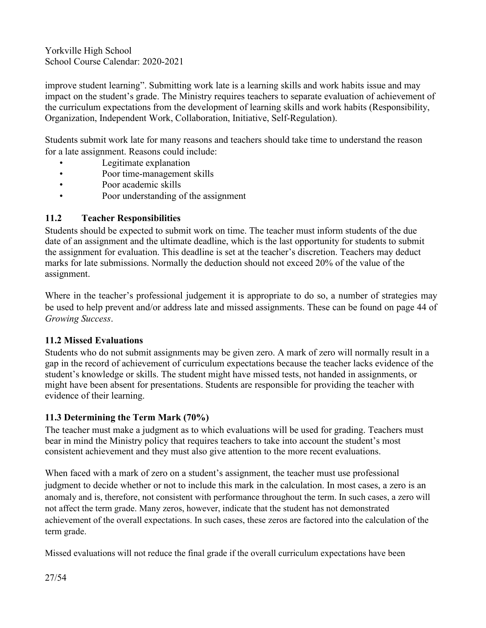improve student learning". Submitting work late is a learning skills and work habits issue and may impact on the student's grade. The Ministry requires teachers to separate evaluation of achievement of the curriculum expectations from the development of learning skills and work habits (Responsibility, Organization, Independent Work, Collaboration, Initiative, Self-Regulation).

Students submit work late formany reasons and teachers should take time to understand the reason for a late assignment. Reasons could include:

- Legitimate explanation
- Poor time-management skills
- Poor academic skills
- Poor understanding of the assignment

# **11.2 Teacher Responsibilities**

Students should be expected to submit work on time. The teacher must inform students of the due date of an assignment and the ultimate deadline, which is the last opportunity for students to submit the assignment for evaluation. This deadline is set at the teacher's discretion. Teachers may deduct marks for late submissions. Normally the deduction should not exceed 20% of the value of the assignment.

Where in the teacher's professional judgement it is appropriate to do so, a number of strategies may be used to help prevent and/or address late and missed assignments. These can be found on page 44 of *Growing Success*.

#### **11.2 Missed Evaluations**

Students who do not submit assignments may be given zero. A mark of zero will normally result in a gap in the record of achievement of curriculum expectations because the teacher lacks evidence of the student's knowledge or skills. The student might have missed tests, not handed in assignments, or might have been absent for presentations. Students are responsible for providing the teacher with evidence of their learning.

#### **11.3 Determining the Term Mark (70%)**

The teacher must make a judgment as to which evaluations will be used for grading. Teachers must bear in mind the Ministry policy that requires teachers to take into account the student's most consistent achievement and they must also give attention to the more recent evaluations.

When faced with a mark of zero on a student's assignment, the teacher must use professional judgment to decide whether or not to include this mark in the calculation. In most cases, a zero is an anomaly and is, therefore, not consistent with performance throughout the term. In such cases, a zero will not affect the term grade. Many zeros, however, indicate that the student has not demonstrated achievement of the overall expectations. In such cases, these zeros are factored into the calculation of the term grade.

Missed evaluations will not reduce the final grade if the overall curriculum expectations have been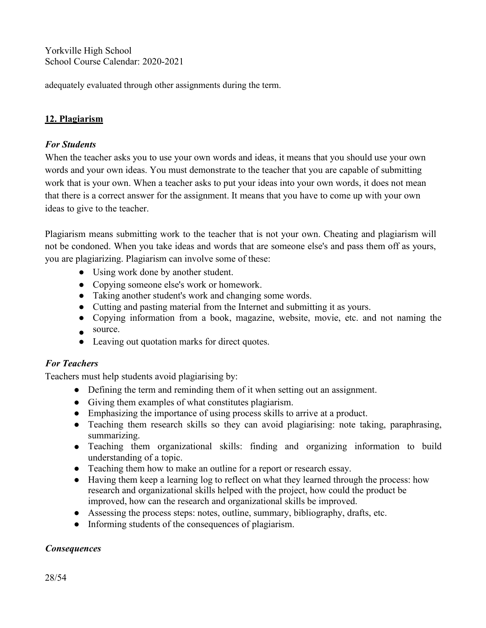adequately evaluated through other assignments during the term.

# **12. Plagiarism**

#### *For Students*

When the teacher asks you to use your own words and ideas, it means that you should use your own words and your own ideas. You must demonstrate to the teacher that you are capable of submitting work that is your own. When a teacher asks to put your ideas into your own words, it does not mean that there is a correct answer for the assignment. It means that you have to come up with your own ideas to give to the teacher.

Plagiarism means submitting work to the teacher that is not your own. Cheating and plagiarism will not be condoned. When you take ideas and words that are someone else's and pass them off as yours, you are plagiarizing. Plagiarism can involve some of these:

- Using work done by another student.
- Copying someone else's work or homework.
- Taking another student's work and changing some words.
- Cutting and pasting material from the Internet and submitting it as yours.
- Copying information from a book, magazine, website, movie, etc. and not naming the
- $\bullet$  source.
- Leaving out quotation marks for direct quotes.

#### *For Teachers*

Teachers must help students avoid plagiarising by:

- Defining the term and reminding them of it when setting out an assignment.
- Giving them examples of what constitutes plagiarism.
- Emphasizing the importance of using process skills to arrive at a product.
- Teaching them research skills so they can avoid plagiarising: note taking, paraphrasing, summarizing.
- Teaching them organizational skills: finding and organizing information to build understanding of a topic.
- Teaching them how to make an outline for a report or research essay.
- Having them keep a learning log to reflect on what they learned through the process: how research and organizational skills helped with the project, how could the product be improved, how can the research and organizational skills be improved.
- Assessing the process steps: notes, outline, summary, bibliography, drafts, etc.
- $\bullet$  Informing students of the consequences of plagiarism.

#### *Consequences*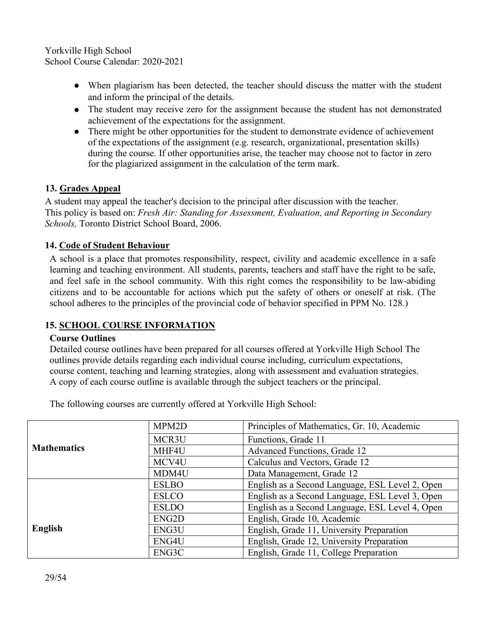- When plagiarism has been detected, the teacher should discuss the matter with the student and inform the principal of the details.
- The student may receive zero for the assignment because the student has not demonstrated achievement of the expectations for the assignment.
- There might be other opportunities for the student to demonstrate evidence of achievement of the expectations of the assignment (e.g. research, organizational, presentation skills) during the course. If other opportunities arise, the teacher may choose not to factor in zero for the plagiarized assignment in the calculation of the term mark.

# **13. Grades Appeal**

A student may appeal the teacher's decision to the principal after discussion with the teacher. This policy is based on: *Fresh Air: Standing for Assessment, Evaluation, and Reporting in Secondary Schools,* Toronto District School Board, 2006.

# **14. Code of Student Behaviour**

A school is a place that promotes responsibility, respect, civility and academic excellence in a safe learning and teaching environment. All students, parents, teachers and staff have the right to be safe, and feel safe in the school community. With this right comes the responsibility to be law-abiding citizens and to be accountable for actions which put the safety of others or oneself at risk. (The school adheres to the principles of the provincial code of behavior specified in PPM No. 128.)

# **15. SCHOOL COURSE INFORMATION**

#### **Course Outlines**

Detailed course outlines have been prepared for all courses offered at Yorkville High School The outlines provide details regarding each individual course including, curriculum expectations, course content, teaching and learning strategies, along with assessment and evaluation strategies. A copy of each course outline is available through the subject teachers or the principal.

The following courses are currently offered at Yorkville High School:

|                    | MPM2D        | Principles of Mathematics, Gr. 10, Academic     |
|--------------------|--------------|-------------------------------------------------|
| <b>Mathematics</b> | MCR3U        | Functions, Grade 11                             |
|                    | MHF4U        | Advanced Functions, Grade 12                    |
|                    | MCV4U        | Calculus and Vectors, Grade 12                  |
|                    | MDM4U        | Data Management, Grade 12                       |
|                    | <b>ESLBO</b> | English as a Second Language, ESL Level 2, Open |
|                    | <b>ESLCO</b> | English as a Second Language, ESL Level 3, Open |
|                    | <b>ESLDO</b> | English as a Second Language, ESL Level 4, Open |
|                    | ENG2D        | English, Grade 10, Academic                     |
| English            | ENG3U        | English, Grade 11, University Preparation       |
|                    | ENG4U        | English, Grade 12, University Preparation       |
|                    | ENG3C        | English, Grade 11, College Preparation          |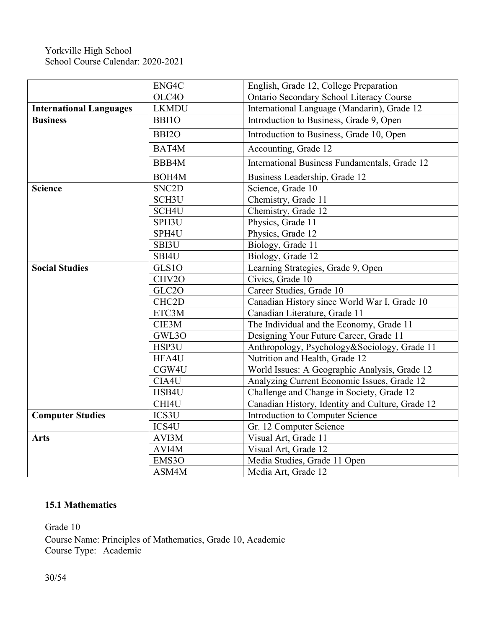|                                | ENG4C              | English, Grade 12, College Preparation           |
|--------------------------------|--------------------|--------------------------------------------------|
|                                | OLC4O              | Ontario Secondary School Literacy Course         |
| <b>International Languages</b> | <b>LKMDU</b>       | International Language (Mandarin), Grade 12      |
| <b>Business</b>                | BBI10              | Introduction to Business, Grade 9, Open          |
|                                | BBI <sub>20</sub>  | Introduction to Business, Grade 10, Open         |
|                                | BAT4M              | Accounting, Grade 12                             |
|                                | BBB4M              | International Business Fundamentals, Grade 12    |
|                                | BOH4M              | Business Leadership, Grade 12                    |
| <b>Science</b>                 | SNC <sub>2</sub> D | Science, Grade 10                                |
|                                | SCH <sub>3</sub> U | Chemistry, Grade 11                              |
|                                | SCH4U              | Chemistry, Grade 12                              |
|                                | SPH3U              | Physics, Grade 11                                |
|                                | SPH4U              | Physics, Grade 12                                |
|                                | SBI3U              | Biology, Grade 11                                |
|                                | SBI4U              | Biology, Grade 12                                |
| <b>Social Studies</b>          | GLS1O              | Learning Strategies, Grade 9, Open               |
|                                | CHV2O              | Civics, Grade 10                                 |
|                                | GLC2O              | Career Studies, Grade 10                         |
|                                | CHC <sub>2</sub> D | Canadian History since World War I, Grade 10     |
|                                | ETC3M              | Canadian Literature, Grade 11                    |
|                                | CIE3M              | The Individual and the Economy, Grade 11         |
|                                | GWL3O              | Designing Your Future Career, Grade 11           |
|                                | HSP3U              | Anthropology, Psychology&Sociology, Grade 11     |
|                                | HFA4U              | Nutrition and Health, Grade 12                   |
|                                | CGW4U              | World Issues: A Geographic Analysis, Grade 12    |
|                                | CIA4U              | Analyzing Current Economic Issues, Grade 12      |
|                                | HSB4U              | Challenge and Change in Society, Grade 12        |
|                                | CHI4U              | Canadian History, Identity and Culture, Grade 12 |
| <b>Computer Studies</b>        | ICS3U              | Introduction to Computer Science                 |
|                                | ICS4U              | Gr. 12 Computer Science                          |
| <b>Arts</b>                    | AVI3M              | Visual Art, Grade 11                             |
|                                | AVI4M              | Visual Art, Grade 12                             |
|                                | EMS3O              | Media Studies, Grade 11 Open                     |
|                                | ASM4M              | Media Art, Grade 12                              |

# **15.1 Mathematics**

Grade 10

Course Name: Principles of Mathematics, Grade 10, Academic Course Type: Academic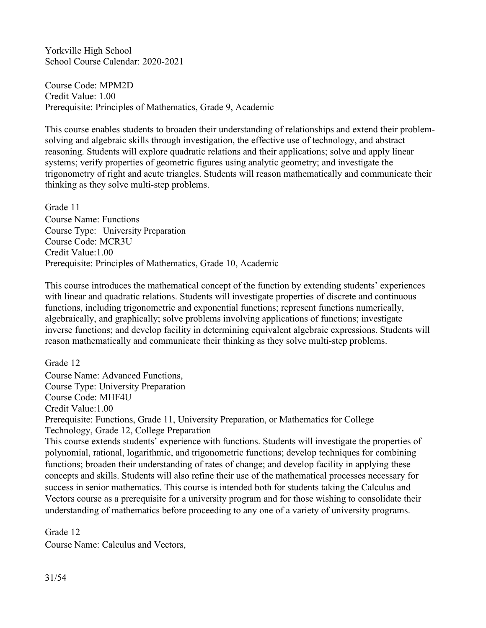Course Code: MPM2D Credit Value: 1.00 Prerequisite: Principles of Mathematics, Grade 9, Academic

This course enables students to broaden their understanding of relationships and extend their problem solving and algebraic skills through investigation, the effective use of technology, and abstract reasoning. Students will explore quadratic relations and their applications; solve and apply linear systems; verify properties of geometric figures using analytic geometry; and investigate the trigonometry of right and acute triangles. Students will reason mathematically and communicate their thinking as they solve multi-step problems.

Grade 11 Course Name: Functions Course Type: University Preparation Course Code: MCR3U Credit Value:1.00 Prerequisite: Principles of Mathematics, Grade 10, Academic

This course introduces the mathematical concept of the function by extending students' experiences with linear and quadratic relations. Students will investigate properties of discrete and continuous functions, including trigonometric and exponential functions; represent functions numerically, algebraically, and graphically; solve problems involving applications of functions; investigate inverse functions; and develop facility in determining equivalent algebraic expressions. Students will reason mathematically and communicate their thinking as they solve multi-step problems.

Grade 12

Course Name: Advanced Functions, Course Type: University Preparation Course Code: MHF4U Credit Value:1.00 Prerequisite: Functions, Grade 11, University Preparation, or Mathematics for College Technology, Grade 12, College Preparation This course extends students' experience with functions. Students will investigate the properties of polynomial, rational, logarithmic, and trigonometric functions; develop techniques for combining functions; broaden their understanding of rates of change; and develop facility in applying these concepts and skills. Students will also refine their use of the mathematical processes necessary for success in senior mathematics. This course is intended both for students taking the Calculus and Vectors course as a prerequisite for a university program and for those wishing to consolidate their understanding of mathematics before proceeding to any one of a variety of university programs.

Grade 12

Course Name: Calculus and Vectors,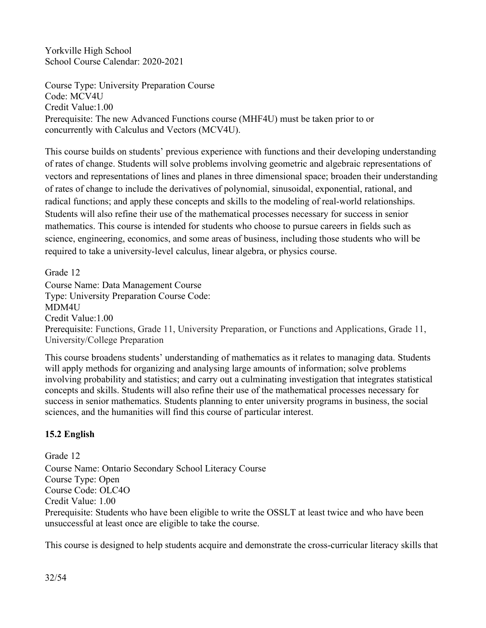Course Type: University Preparation Course Code: MCV4U Credit Value:1.00 Prerequisite: The new Advanced Functions course (MHF4U) must be taken prior to or concurrently with Calculus and Vectors (MCV4U).

This course builds on students' previous experience with functions and their developing understanding of rates of change. Students will solve problems involving geometric and algebraic representations of vectors and representations of lines and planes in three dimensional space; broaden their understanding of rates of change to include the derivatives of polynomial, sinusoidal, exponential, rational, and radical functions; and apply these concepts and skills to the modeling of real-world relationships. Students will also refine their use of the mathematical processes necessary for success in senior mathematics. This course is intended for students who choose to pursue careers in fields such as science, engineering, economics, and some areas of business, including those students who will be required to take a university-level calculus, linear algebra, or physics course.

Grade 12 Course Name: Data Management Course Type: University Preparation Course Code: MDM4U Credit Value:1.00 Prerequisite: Functions, Grade 11, University Preparation, or Functions and Applications, Grade 11, University/College Preparation

This course broadens students' understanding of mathematics as it relates to managing data. Students will apply methods for organizing and analysing large amounts of information; solve problems involving probability and statistics; and carry out a culminating investigation that integrates statistical concepts and skills. Students will also refine their use of the mathematical processes necessary for success in senior mathematics. Students planning to enter university programs in business, the social sciences, and the humanities will find this course of particular interest.

# **15.2 English**

Grade 12 Course Name: Ontario Secondary School Literacy Course Course Type: Open Course Code: OLC4O Credit Value: 1.00 Prerequisite: Students who have been eligible to write the OSSLT at least twice and who have been unsuccessful at least once are eligible to take the course.

This course is designed to help students acquire and demonstrate the cross-curricular literacy skills that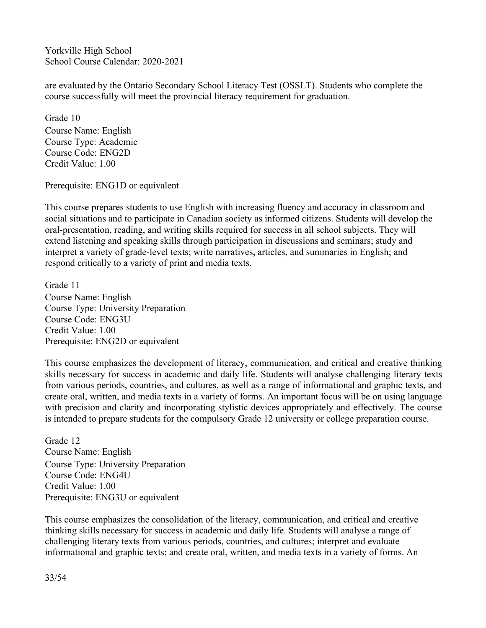are evaluated by the Ontario Secondary School Literacy Test (OSSLT). Students who complete the course successfully will meet the provincial literacy requirement for graduation.

Grade 10 Course Name: English Course Type: Academic Course Code: ENG2D Credit Value: 1.00

Prerequisite: ENG1D or equivalent

This course prepares students to use English with increasing fluency and accuracy in classroom and social situations and to participate in Canadian society as informed citizens. Students will develop the oral-presentation, reading, and writing skills required for success in all school subjects. They will extend listening and speaking skills through participation in discussions and seminars; study and interpret a variety of grade-level texts; write narratives, articles, and summaries in English; and respond critically to a variety of print and media texts.

Grade 11 Course Name: English Course Type: University Preparation Course Code: ENG3U Credit Value: 1.00 Prerequisite: ENG2D or equivalent

This course emphasizes the development of literacy, communication, and critical and creative thinking skills necessary for success in academic and daily life. Students will analyse challenging literary texts from various periods, countries, and cultures, as well as a range of informational and graphic texts, and create oral, written, and media texts in a variety of forms. An important focus will be on using language with precision and clarity and incorporating stylistic devices appropriately and effectively. The course is intended to prepare students for the compulsory Grade 12 university or college preparation course.

Grade 12 Course Name: English Course Type: University Preparation Course Code: ENG4U Credit Value: 1.00 Prerequisite: ENG3U or equivalent

This course emphasizes the consolidation of the literacy, communication, and critical and creative thinking skills necessary for success in academic and daily life. Students will analyse a range of challenging literary texts from various periods, countries, and cultures; interpret and evaluate informational and graphic texts; and create oral, written, and media texts in a variety of forms. An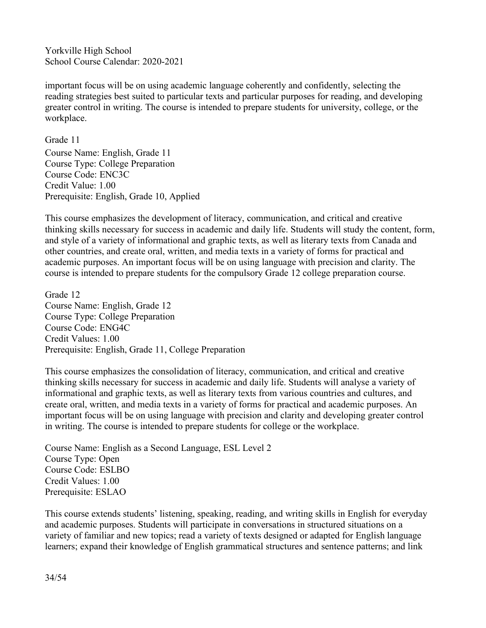important focus will be on using academic language coherently and confidently, selecting the reading strategies best suited to particular texts and particular purposes for reading, and developing greater control in writing. The course is intended to prepare students for university, college, or the workplace.

Grade 11 Course Name: English, Grade 11 Course Type: College Preparation Course Code: ENC3C Credit Value: 1.00 Prerequisite: English, Grade 10, Applied

This course emphasizes the development of literacy, communication, and critical and creative thinking skills necessary for success in academic and daily life. Students will study the content, form, and style of a variety of informational and graphic texts, as well as literary texts from Canada and other countries, and create oral, written, and media texts in a variety of forms for practical and academic purposes. An important focus will be on using language with precision and clarity. The course is intended to prepare students for the compulsory Grade 12 college preparation course.

Grade 12 Course Name: English, Grade 12 Course Type: College Preparation Course Code: ENG4C Credit Values: 1.00 Prerequisite: English, Grade 11, College Preparation

This course emphasizes the consolidation of literacy, communication, and critical and creative thinking skills necessary for success in academic and daily life. Students will analyse a variety of informational and graphic texts, as well as literary texts from various countries and cultures, and create oral, written, and media texts in a variety of forms for practical and academic purposes. An important focus will be on using language with precision and clarity and developing greater control in writing. The course is intended to prepare students for college or the workplace.

Course Name: English as a Second Language, ESL Level 2 Course Type: Open Course Code: ESLBO Credit Values: 1.00 Prerequisite: ESLAO

This course extends students' listening, speaking, reading, and writing skills in English for everyday and academic purposes. Students will participate in conversations in structured situations on a variety of familiar and new topics; read a variety of texts designed or adapted for English language learners; expand their knowledge of English grammatical structures and sentence patterns; and link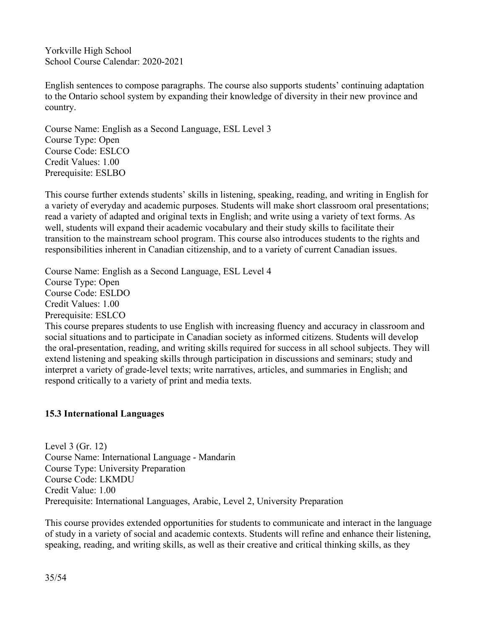English sentences to compose paragraphs. The course also supports students' continuing adaptation to the Ontario school system by expanding their knowledge of diversity in their new province and country.

Course Name: English as a Second Language, ESL Level 3 Course Type: Open Course Code: ESLCO Credit Values: 1.00 Prerequisite: ESLBO

This course further extends students' skills in listening, speaking, reading, and writing in English for a variety of everyday and academic purposes. Students will make short classroom oral presentations; read a variety of adapted and original texts in English; and write using a variety of text forms. As well, students will expand their academic vocabulary and their study skills to facilitate their transition to the mainstream school program. This course also introduces students to the rights and responsibilities inherent in Canadian citizenship, and to a variety of currentCanadian issues.

Course Name: English as a Second Language, ESL Level 4 Course Type: Open Course Code: ESLDO Credit Values: 1.00 Prerequisite: ESLCO

This course prepares students to use English with increasing fluency and accuracy in classroom and social situations and to participate in Canadian society as informed citizens. Students will develop the oral-presentation, reading, and writing skills required for success in all school subjects. They will extend listening and speaking skills through participation in discussions and seminars; study and interpret a variety of grade-level texts; write narratives, articles, and summaries in English; and respond critically to a variety of print and media texts.

#### **15.3 International Languages**

Level 3 (Gr. 12) Course Name: International Language - Mandarin Course Type: University Preparation Course Code: LKMDU Credit Value: 1.00 Prerequisite: International Languages, Arabic, Level 2, University Preparation

This course provides extended opportunities for students to communicate and interact in the language of study in a variety of social and academic contexts. Students will refine and enhance their listening, speaking, reading, and writing skills, as well as their creative and critical thinking skills, as they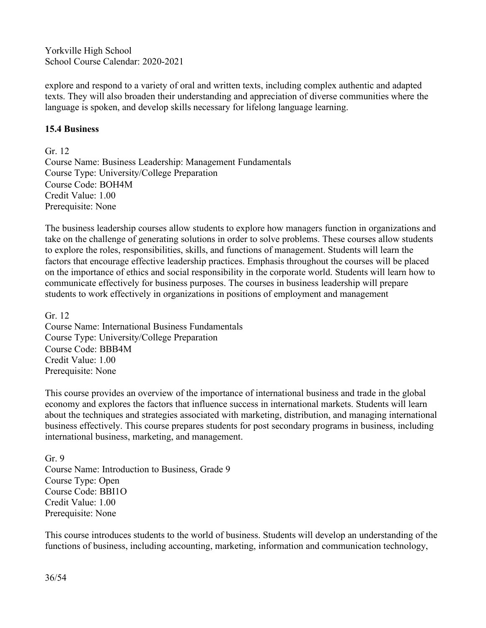explore and respond to a variety of oral and written texts, including complex authentic and adapted texts. They will also broaden their understanding and appreciation of diverse communities where the language is spoken, and develop skills necessary for lifelong language learning.

#### **15.4 Business**

Gr. 12 Course Name: Business Leadership: Management Fundamentals Course Type: University/College Preparation Course Code: BOH4M Credit Value: 1.00 Prerequisite: None

The business leadership courses allow students to explore how managers function in organizations and take on the challenge of generating solutions in order to solve problems. These courses allow students to explore the roles, responsibilities, skills, and functions of management. Students will learn the factors that encourage effective leadership practices. Emphasis throughout the courses will be placed on the importance of ethics and social responsibility in the corporate world. Students will learn how to communicate effectively for business purposes. The courses in business leadership will prepare students to work effectively in organizations in positions of employment and management

Gr. 12 Course Name: International Business Fundamentals Course Type: University/College Preparation Course Code: BBB4M Credit Value: 1.00 Prerequisite: None

This course provides an overview of the importance of international business and trade in the global economy and explores the factors that influence success in international markets. Students will learn about the techniques and strategies associated with marketing, distribution, and managing international business effectively. This course prepares students for post secondary programs in business, including international business, marketing, and management.

Gr. 9 Course Name: Introduction to Business, Grade 9 Course Type: Open Course Code: BBI1O Credit Value: 1.00 Prerequisite: None

This course introduces students to the world of business. Students will develop an understanding of the functions of business, including accounting, marketing, information and communication technology,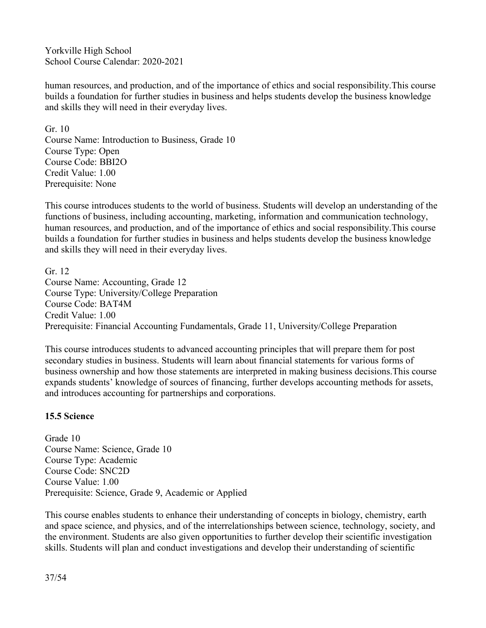human resources, and production, and of the importance of ethics and social responsibility.This course builds a foundation for further studies in business and helps students develop the business knowledge and skills they will need in their everyday lives.

Gr. 10 Course Name: Introduction to Business, Grade 10 Course Type: Open Course Code: BBI2O Credit Value: 1.00 Prerequisite: None

This course introduces students to the world of business. Students will develop an understanding of the functions of business, including accounting, marketing, information and communication technology, human resources, and production, and of the importance of ethics and social responsibility.This course builds a foundation for further studies in business and helps students develop the business knowledge and skills they will need in their everyday lives.

Gr. 12 Course Name: Accounting, Grade 12 Course Type: University/College Preparation Course Code: BAT4M Credit Value: 1.00 Prerequisite: Financial Accounting Fundamentals, Grade 11, University/College Preparation

This course introduces students to advanced accounting principles that will prepare them for post secondary studies in business. Students will learn about financial statements for various forms of business ownership and how those statements are interpreted in making business decisions.This course expands students' knowledge of sources offinancing, further develops accounting methods for assets, and introduces accounting for partnerships and corporations.

#### **15.5 Science**

Grade 10 Course Name: Science, Grade 10 Course Type: Academic Course Code: SNC2D Course Value: 1.00 Prerequisite: Science, Grade 9, Academic or Applied

This course enables students to enhance their understanding of concepts in biology, chemistry, earth and space science, and physics, and of the interrelationships between science, technology, society, and the environment. Students are also given opportunities to further develop their scientific investigation skills. Students will plan and conduct investigations and develop their understanding of scientific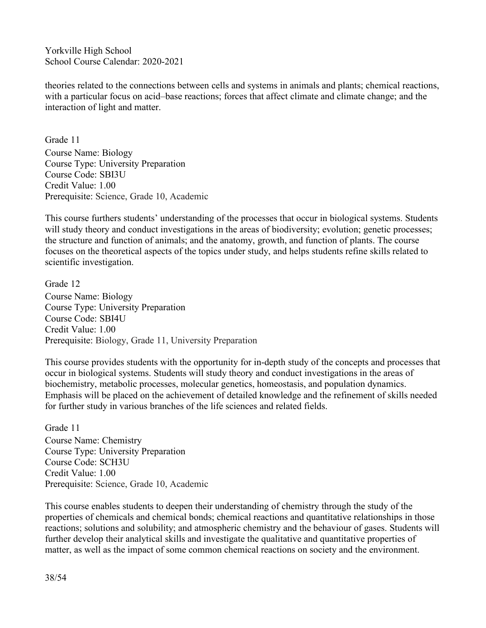theories related to the connections between cells and systems in animals and plants; chemical reactions, with a particular focus on acid–base reactions; forces that affect climate and climate change; and the interaction of light and matter.

Grade 11 Course Name: Biology Course Type: University Preparation Course Code: SBI3U Credit Value: 1.00 Prerequisite: Science, Grade 10, Academic

This course furthers students' understanding of the processes that occur in biological systems. Students will study theory and conduct investigations in the areas of biodiversity; evolution; genetic processes; the structure and function of animals; and the anatomy, growth, and function of plants. The course focuses on the theoretical aspects of the topics under study, and helps students refine skills related to scientific investigation.

Grade 12 Course Name: Biology Course Type: University Preparation Course Code: SBI4U Credit Value: 1.00 Prerequisite: Biology, Grade 11, University Preparation

This course provides students with the opportunity for in-depth study of the concepts and processes that occur in biological systems. Students will study theory and conduct investigations in the areas of biochemistry, metabolic processes, molecular genetics, homeostasis, and population dynamics. Emphasis will be placed on the achievement of detailed knowledge and the refinement of skills needed for further study in various branches of the life sciences and related fields.

Grade 11 Course Name: Chemistry Course Type: University Preparation Course Code: SCH3U Credit Value: 1.00 Prerequisite: Science, Grade 10, Academic

This course enables students to deepen their understanding of chemistry through the study of the properties of chemicals and chemical bonds; chemical reactions and quantitative relationships in those reactions; solutions and solubility; and atmospheric chemistry and the behaviour of gases. Students will further develop their analytical skills and investigate the qualitative and quantitative properties of matter, as well as the impact of some common chemical reactions on society and the environment.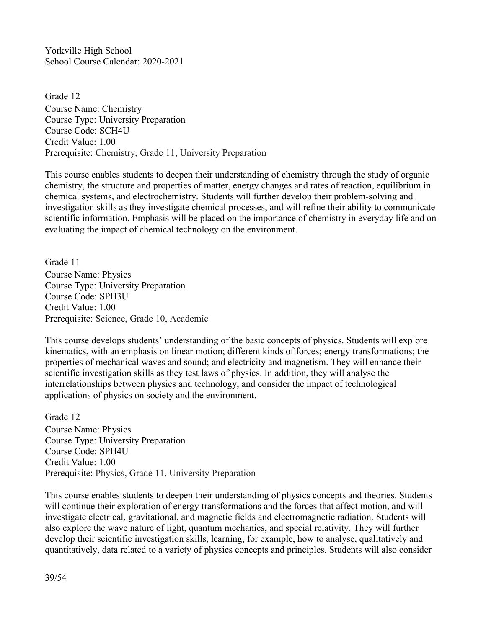Grade 12 Course Name: Chemistry Course Type: University Preparation Course Code: SCH4U Credit Value: 1.00 Prerequisite: Chemistry, Grade 11, University Preparation

This course enables students to deepen their understanding of chemistry through the study of organic chemistry, the structure and properties of matter, energy changes and rates of reaction, equilibrium in chemical systems, and electrochemistry. Students will further develop their problem-solving and investigation skills as they investigate chemical processes, and will refine their ability to communicate scientific information. Emphasis will be placed on the importance of chemistry in everyday life and on evaluating the impact of chemical technology on the environment.

Grade 11 Course Name: Physics Course Type: University Preparation Course Code: SPH3U Credit Value: 1.00 Prerequisite: Science, Grade 10, Academic

This course develops students' understanding of the basic concepts of physics. Students will explore kinematics, with an emphasis on linear motion; different kinds of forces; energy transformations; the properties of mechanical waves and sound; and electricity and magnetism. They will enhance their scientific investigation skills as they test laws of physics. In addition, they will analyse the interrelationships between physics and technology, and consider the impact of technological applications of physics on society and the environment.

Grade 12 Course Name: Physics Course Type: University Preparation Course Code: SPH4U Credit Value: 1.00 Prerequisite: Physics, Grade 11, University Preparation

This course enables students to deepen their understanding of physics concepts and theories. Students will continue their exploration of energy transformations and the forces that affect motion, and will investigate electrical, gravitational, and magnetic fields and electromagnetic radiation. Students will also explore the wave nature of light, quantum mechanics, and special relativity. They will further develop their scientific investigation skills, learning, for example, how to analyse, qualitatively and quantitatively, data related to a variety of physics concepts and principles. Students will also consider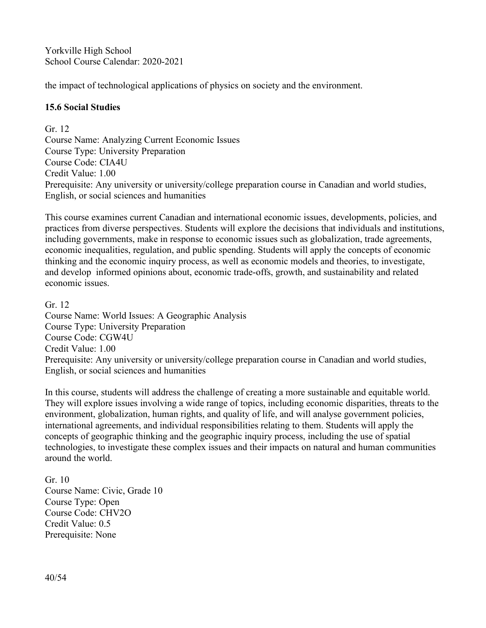the impact of technological applications of physics on society and the environment.

#### **15.6 Social Studies**

Gr. 12 Course Name: Analyzing Current Economic Issues Course Type: University Preparation Course Code: CIA4U Credit Value: 1.00 Prerequisite: Any university or university/college preparation course in Canadian and world studies, English, or social sciences and humanities

This course examines current Canadian and international economic issues, developments, policies, and practices from diverse perspectives. Students will explore the decisions that individuals and institutions, including governments, make in response to economic issues such as globalization, trade agreements, economic inequalities, regulation, and public spending. Students will apply the concepts of economic thinking and the economic inquiry process, as well as economic models and theories, to investigate, and develop informed opinions about, economic trade-offs, growth, and sustainability and related economic issues.

Gr. 12 Course Name: World Issues: A Geographic Analysis Course Type: University Preparation Course Code: CGW4U Credit Value: 1.00 Prerequisite: Any university or university/college preparation course in Canadian and world studies, English, or social sciences and humanities

In this course, students will address the challenge of creating a more sustainable and equitable world. They will explore issues involving a wide range of topics, including economic disparities, threats to the environment, globalization, human rights, and quality of life, and will analyse government policies, international agreements, and individual responsibilities relating to them. Students will apply the concepts of geographic thinking and the geographic inquiry process, including the use of spatial technologies, to investigate these complex issues and their impacts on natural and human communities around the world.

Gr. 10 Course Name: Civic, Grade 10 Course Type: Open Course Code: CHV2O Credit Value: 0.5 Prerequisite: None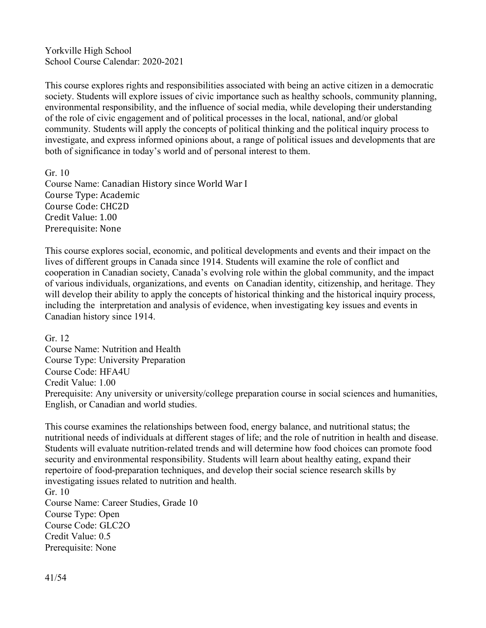This course explores rights and responsibilities associated with being an active citizen in a democratic society. Students will explore issues of civic importance such as healthy schools, community planning, environmental responsibility, and the influence of social media, while developing their understanding of the role of civic engagement and of political processes in the local, national, and/or global community. Students will apply the concepts of political thinking and the political inquiry process to investigate, and express informed opinions about, a range of political issues and developments that are both of significance in today's world and of personal interest to them.

Gr. 10 Course Name: Canadian History since World War I Course Type: Academic Course Code: CHC2D Credit Value: 1.00 Prerequisite: None

This course explores social, economic, and political developments and events and their impact on the lives of different groups in Canada since 1914. Students will examine the role of conflict and cooperation in Canadian society, Canada's evolving role within the globalcommunity, and the impact of various individuals, organizations, and events on Canadian identity, citizenship, and heritage. They will develop their ability to apply the concepts of historical thinking and the historical inquiry process, including the interpretation and analysis of evidence, when investigating key issues and events in Canadian history since 1914.

Gr. 12

Course Name: Nutrition and Health Course Type: University Preparation Course Code: HFA4U Credit Value: 1.00 Prerequisite: Any university or university/college preparation course in social sciences and humanities, English, or Canadian and world studies.

This course examines the relationships between food, energy balance, and nutritional status; the nutritional needs of individuals at different stages of life; and the role of nutrition in health and disease. Students will evaluate nutrition-related trends and will determine how food choices can promote food security and environmental responsibility. Students will learn about healthy eating, expand their repertoire of food-preparation techniques, and develop their social science research skills by investigating issues related to nutrition and health.

Gr. 10 Course Name: Career Studies, Grade 10 Course Type: Open Course Code: GLC2O Credit Value: 0.5 Prerequisite: None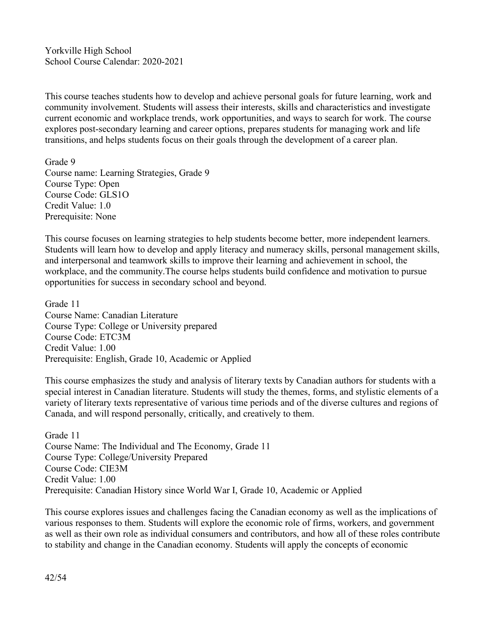This course teaches students how to develop and achieve personal goals for future learning, work and community involvement. Students will assess their interests, skills and characteristics and investigate current economic and workplace trends, work opportunities, and ways to search for work. The course explores post-secondary learning and career options, prepares students for managing work and life transitions, and helps students focus on their goals through the development of a career plan.

Grade 9 Course name: Learning Strategies, Grade 9 Course Type: Open Course Code: GLS1O Credit Value: 1.0 Prerequisite: None

This course focuses on learning strategies to help students become better, more independent learners. Students will learn how to develop and apply literacy and numeracy skills, personal management skills, and interpersonal and teamwork skills to improve their learning and achievement in school, the workplace, and the community.The course helps students build confidence and motivation to pursue opportunities for success in secondary school and beyond.

Grade 11 Course Name: Canadian Literature Course Type: College or University prepared Course Code: ETC3M Credit Value: 1.00 Prerequisite: English, Grade 10, Academic or Applied

This course emphasizes the study and analysis of literary texts by Canadian authors for students with a special interest in Canadian literature. Students will study the themes, forms, and stylistic elements of a variety of literary texts representative of various time periods and of the diverse cultures and regions of Canada, and will respond personally, critically, and creatively to them.

Grade 11 Course Name: The Individual and The Economy, Grade 11 Course Type: College/University Prepared Course Code: CIE3M Credit Value: 1.00 Prerequisite: Canadian History since World War I, Grade 10, Academic or Applied

This course explores issues and challenges facing the Canadian economy as well as the implications of various responses to them. Students will explore the economic role of firms, workers, and government as well as their own role asindividual consumers and contributors, and how all of these roles contribute to stability and change in the Canadian economy. Students will apply the concepts of economic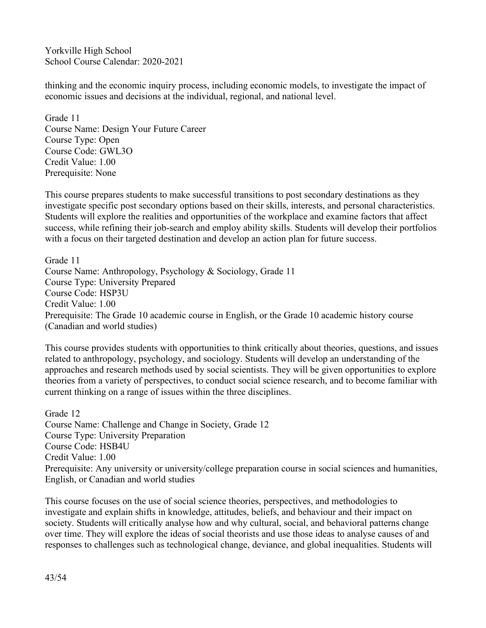thinking and the economic inquiry process, including economic models, to investigate the impact of economic issues and decisions at the individual, regional, and national level.

Grade 11 Course Name: Design Your Future Career Course Type: Open Course Code: GWL3O Credit Value: 1.00 Prerequisite: None

This course prepares students to make successful transitions to post secondary destinations as they investigate specific post secondary options based on their skills, interests, and personal characteristics. Students will explore the realities and opportunities of the workplace and examine factors that affect success, while refining their job-search and employ ability skills. Students will develop their portfolios with a focus on their targeted destination and develop an action plan for future success.

Grade 11 Course Name: Anthropology, Psychology & Sociology, Grade 11 Course Type: University Prepared Course Code: HSP3U Credit Value: 1.00 Prerequisite: The Grade 10 academic course in English, or the Grade 10 academic history course (Canadian and world studies)

This course provides students with opportunities to think critically about theories, questions, and issues related to anthropology, psychology, and sociology. Students will develop an understanding of the approaches and research methods used by social scientists. They will be given opportunities to explore theories from a variety of perspectives, to conduct social science research, and to become familiar with current thinking on a range of issues within the three disciplines.

Grade 12 Course Name: Challenge and Change in Society, Grade 12 Course Type: University Preparation Course Code: HSB4U Credit Value: 1.00 Prerequisite: Any university or university/college preparation course in social sciences and humanities, English, or Canadian and world studies

This course focuses on the use of social science theories, perspectives, and methodologies to investigate and explain shifts in knowledge, attitudes, beliefs, and behaviour and their impact on society. Students will critically analyse how and why cultural, social, and behavioral patterns change over time. They will explore the ideas of social theorists and use those ideas to analyse causes of and responses to challenges such as technological change, deviance, and global inequalities. Students will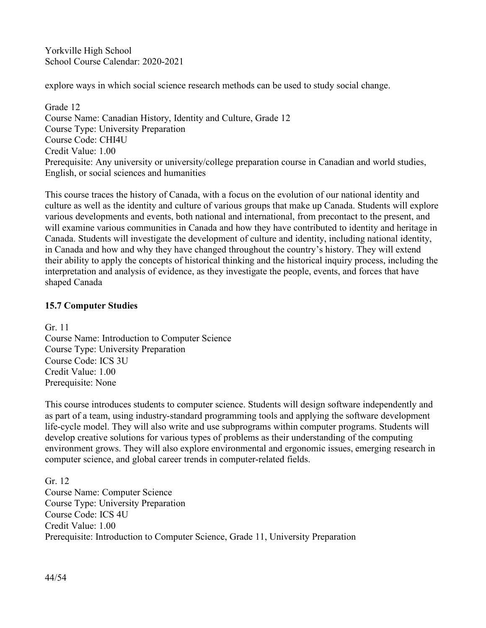explore ways in which social science research methods can be used to study social change.

Grade 12 Course Name: Canadian History, Identity and Culture, Grade 12 Course Type: University Preparation Course Code: CHI4U Credit Value: 1.00 Prerequisite: Any university or university/college preparation course in Canadian and world studies, English, or social sciences and humanities

This course traces the history of Canada, with a focus on the evolution of our national identity and culture as well as the identity and culture of various groups that make up Canada. Students will explore various developments and events, both national and international, from precontact to the present, and will examine various communities in Canada and how they have contributed to identity and heritage in Canada. Students will investigate the development of culture and identity, including national identity, in Canada and how and why they have changed throughout the country's history. They will extend their ability to apply the concepts of historical thinking and the historical inquiry process, including the interpretation and analysis of evidence, as they investigate the people, events, and forces that have shaped Canada

# **15.7 Computer Studies**

Gr. 11 Course Name: Introduction to Computer Science Course Type: University Preparation Course Code: ICS 3U Credit Value: 1.00 Prerequisite: None

This course introduces students to computer science. Students will design software independently and as part of a team, using industry-standard programming tools and applying the software development life-cycle model. They will also write and use subprograms within computer programs. Students will develop creative solutions for various types of problems as their understanding of the computing environment grows. They will also explore environmental and ergonomic issues, emerging research in computer science, and global career trends in computer-related fields.

Gr. 12 Course Name: Computer Science Course Type: University Preparation Course Code: ICS 4U Credit Value: 1.00 Prerequisite: Introduction to Computer Science, Grade 11, University Preparation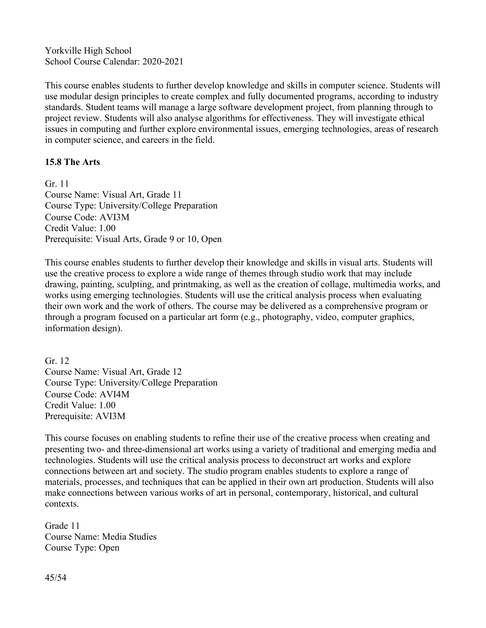This course enables students to further develop knowledge and skills in computer science. Students will use modular design principles to create complex and fully documented programs, according to industry standards. Student teams will manage a large software development project, from planning through to project review. Students will also analyse algorithms for effectiveness. They will investigate ethical issues in computing and further explore environmental issues, emerging technologies, areas of research in computer science, and careers in the field.

#### **15.8 The Arts**

Gr. 11 Course Name: Visual Art, Grade 11 Course Type: University/College Preparation Course Code: AVI3M Credit Value: 1.00 Prerequisite: Visual Arts, Grade 9 or 10, Open

This course enables students to further develop their knowledge and skills in visual arts. Students will use the creative process to explore a wide range of themes through studio work that may include drawing, painting, sculpting, and printmaking, as well as the creation of collage, multimedia works, and works using emerging technologies. Students will use the critical analysis process when evaluating their own work and the work of others. The course may be delivered as a comprehensive program or through a program focused on a particular art form (e.g., photography, video, computer graphics, information design).

Gr. 12 Course Name: Visual Art, Grade 12 Course Type: University/College Preparation Course Code: AVI4M Credit Value: 1.00 Prerequisite: AVI3M

This course focuses on enabling students to refine their use of the creative process when creating and presenting two- and three-dimensional art works using a variety of traditional and emerging media and technologies. Students will use the critical analysis process to deconstruct art works and explore connections between art and society. The studio program enables students to explore a range of materials, processes, and techniques that can be applied in their own art production. Students will also make connections between various works of art in personal, contemporary, historical, and cultural contexts.

Grade 11 Course Name: Media Studies Course Type: Open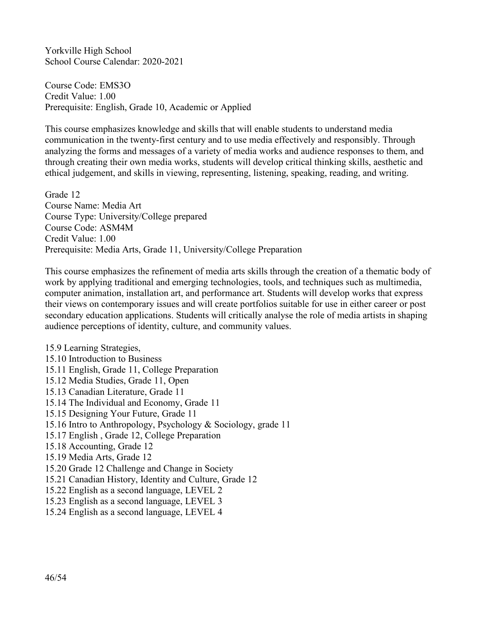Course Code: EMS3O Credit Value: 1.00 Prerequisite: English, Grade 10, Academic or Applied

This course emphasizes knowledge and skills that will enable students to understand media communication in the twenty-first century and to use media effectively and responsibly. Through analyzing the forms and messages of a variety of media works and audience responses to them, and through creating their own media works, students will develop critical thinking skills, aesthetic and ethical judgement, and skills in viewing, representing, listening, speaking, reading, and writing.

Grade 12 Course Name: Media Art Course Type: University/College prepared Course Code: ASM4M Credit Value: 1.00 Prerequisite: Media Arts, Grade 11, University/College Preparation

This course emphasizes the refinement of media arts skills through the creation of a thematic body of work by applying traditional and emerging technologies, tools, and techniques such as multimedia, computer animation, installation art, and performance art. Students will develop works that express their views on contemporary issues and will create portfolios suitable for use in either career or post secondary education applications. Students will critically analyse the role of media artists in shaping audience perceptions of identity, culture, and community values.

15.9 Learning Strategies, 15.10 Introduction to Business 15.11 English, Grade 11, College Preparation 15.12 Media Studies, Grade 11, Open 15.13 Canadian Literature, Grade 11 15.14 The Individual and Economy, Grade 11 15.15 Designing Your Future, Grade 11 15.16 Intro to Anthropology, Psychology & Sociology, grade 11 15.17 English, Grade 12, College Preparation 15.18 Accounting, Grade 12 15.19 Media Arts, Grade 12 15.20 Grade 12 Challenge and Change in Society 15.21 Canadian History, Identity and Culture, Grade 12 15.22 English as a second language, LEVEL 2 15.23 English as a second language, LEVEL 3 15.24 English as a second language, LEVEL 4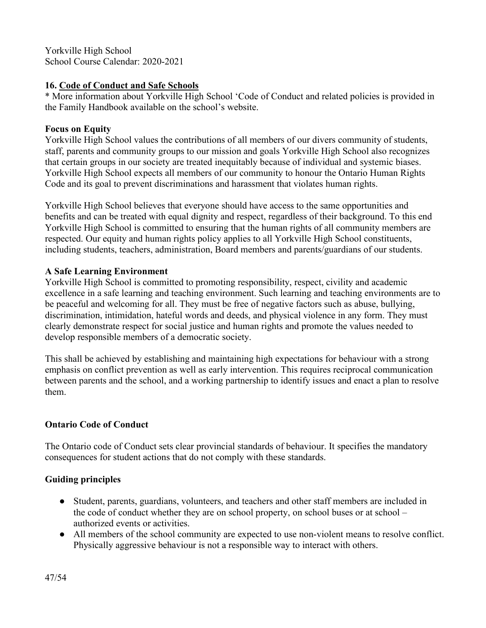#### **16. Code of Conduct and Safe Schools**

\* More information about Yorkville High School 'Code of Conduct and related policies is provided in the Family Handbook available on the school's website.

# **Focus on Equity**

Yorkville High School values the contributions of all members of our divers community of students, staff, parents and community groups to our mission and goals Yorkville High School also recognizes that certain groups in our society are treated inequitably because of individual and systemic biases. Yorkville High School expects all members of our community to honour the Ontario Human Rights Code and its goal to prevent discriminations and harassment that violates human rights.

Yorkville High School believes that everyone should have access to the same opportunities and benefits and can be treated with equal dignity and respect, regardless of their background. To this end Yorkville High School is committed to ensuring that the human rights of all community members are respected. Our equity and human rights policy applies to all Yorkville High School constituents, including students, teachers, administration, Board members and parents/guardians of our students.

# **A Safe Learning Environment**

Yorkville High School is committed to promoting responsibility, respect, civility and academic excellence in a safe learning and teaching environment. Such learning and teaching environments are to be peaceful and welcoming for all. They must be free of negative factors such as abuse, bullying, discrimination, intimidation, hateful words and deeds, and physical violence in any form. They must clearly demonstrate respect for social justice and human rights and promote the values needed to develop responsible members of a democratic society.

This shall be achieved by establishing and maintaining high expectations for behaviour with a strong emphasis on conflict prevention as well as early intervention. This requires reciprocal communication between parents and the school, and a working partnership to identify issues and enact a plan to resolve them.

# **Ontario Code of Conduct**

The Ontario code of Conduct sets clear provincial standards of behaviour. It specifies the mandatory consequences for student actions that do not comply with these standards.

# **Guiding principles**

- Student, parents, guardians, volunteers, and teachers and other staff members are included in the code of conduct whether they are on school property, on school buses or at school – authorized events or activities.
- All members of the school community are expected to use non-violent means to resolve conflict. Physically aggressive behaviour is not a responsible way to interact with others.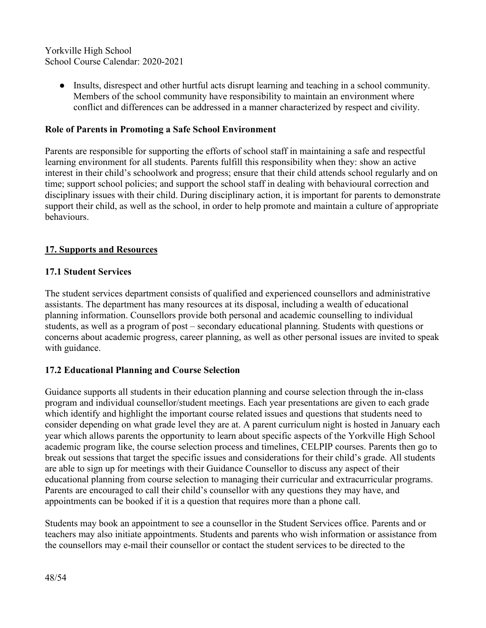> ● Insults, disrespect and other hurtful acts disrupt learning and teaching in a school community. Members of the school community have responsibility to maintain an environment where conflict and differences can be addressed in a manner characterized by respect and civility.

#### **Role of Parents in Promoting a Safe School Environment**

Parents are responsible for supporting the efforts of school staff in maintaining a safe and respectful learning environment for all students. Parents fulfill this responsibility when they: show an active interest in their child's schoolwork and progress; ensure that their child attends school regularly and on time; support school policies; and support the school staff in dealing with behavioural correction and disciplinary issues with their child. During disciplinary action, it is important for parents to demonstrate support their child, as well as the school, in order to help promote and maintain a culture of appropriate behaviours.

#### **17. Supports and Resources**

#### **17.1 Student Services**

The student services department consists of qualified and experienced counsellors and administrative assistants. The department has many resources at its disposal, including a wealth of educational planning information. Counsellors provide both personal and academic counselling to individual students, as well as a program of post – secondary educational planning. Students with questions or concerns about academic progress, career planning, as well as other personal issues are invited to speak with guidance.

#### **17.2 Educational Planning and Course Selection**

Guidance supports all students in their education planning and course selection through the in-class program and individual counsellor/student meetings. Each year presentations are given to each grade which identify and highlight the important course related issues and questions that students need to consider depending on what grade level they are at. A parent curriculum night is hosted in January each year which allows parents the opportunity to learn about specific aspects of the Yorkville High School academic program like, the course selection process and timelines, CELPIP courses. Parents then go to break out sessions that target the specific issues and considerations for their child's grade. All students are able to sign up for meetings with their Guidance Counsellor to discuss any aspect of their educational planning from course selection to managing their curricular and extracurricular programs. Parents are encouraged to call their child's counsellor with any questions they may have, and appointments can be booked if it is a question that requires more than a phone call.

Students may book an appointment to see a counsellor in the Student Services office. Parents and or teachers may also initiate appointments. Students and parents who wish information or assistance from the counsellors may e-mail their counsellor or contact the student services to be directed to the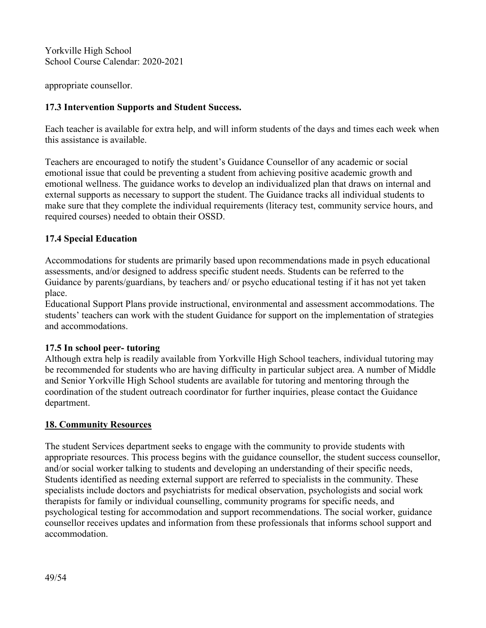appropriate counsellor.

#### **17.3 Intervention Supports and Student Success.**

Each teacher is available for extra help, and will inform students of the days and times each week when this assistance is available.

Teachers are encouraged to notify the student's Guidance Counsellor of any academic or social emotional issue that could be preventing a student from achieving positive academic growth and emotional wellness. The guidance works to develop an individualized plan that draws on internal and external supports as necessary to support the student. The Guidance tracks all individual students to make sure that they complete the individual requirements (literacy test, community service hours, and required courses) needed to obtain their OSSD.

#### **17.4 Special Education**

Accommodations for students are primarily based upon recommendations made in psych educational assessments, and/or designed to address specific student needs. Students can be referred to the Guidance by parents/guardians, by teachers and/ or psycho educational testing if it has not yet taken place.

Educational Support Plans provide instructional, environmental and assessment accommodations. The students' teachers can work with the student Guidance for support on the implementation of strategies and accommodations.

#### **17.5 In school peer- tutoring**

Although extra help is readily available from Yorkville High School teachers, individual tutoring may be recommended for students who are having difficulty in particular subject area. A number of Middle and Senior Yorkville High School students are available for tutoring and mentoring through the coordination of the student outreach coordinator for further inquiries, please contact the Guidance department.

#### **18. Community Resources**

The student Services department seeks to engage with the community to provide students with appropriate resources. This process begins with the guidance counsellor, the student success counsellor, and/or social worker talking to students and developing an understanding of their specific needs, Students identified as needing external support are referred to specialists in the community. These specialists include doctors and psychiatrists for medical observation, psychologists and social work therapists for family or individual counselling, community programs for specific needs, and psychological testing for accommodation and support recommendations. The social worker, guidance counsellor receives updates and information from these professionals that informs school support and accommodation.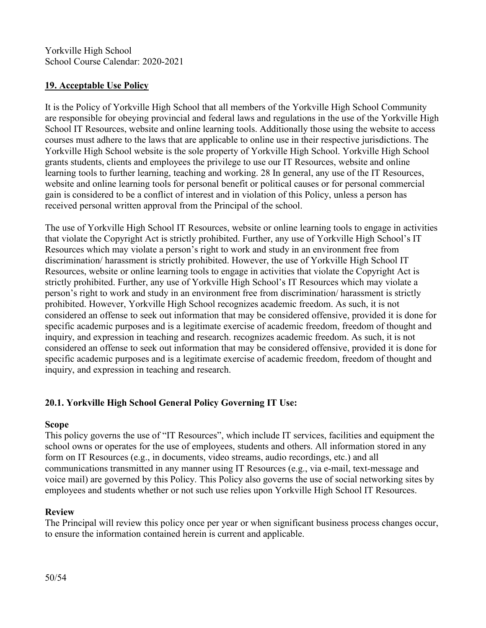#### **19. Acceptable Use Policy**

It is the Policy of Yorkville High School that all members of the Yorkville High School Community are responsible for obeying provincial and federal laws and regulations in the use of the Yorkville High School IT Resources, website and online learning tools. Additionally those using the website to access courses must adhere to the laws that are applicable to online use in their respective jurisdictions. The Yorkville High School website is the sole property of Yorkville High School. Yorkville High School grants students, clients and employees the privilege to use our IT Resources, website and online learning tools to further learning, teaching and working. 28 In general, any use of the IT Resources, website and online learning tools for personal benefit or political causes or for personal commercial gain is considered to be a conflict of interest and in violation of this Policy, unless a person has received personal written approval from the Principal of the school.

The use of Yorkville High School IT Resources, website or online learning tools to engage in activities that violate the Copyright Act is strictly prohibited. Further, any use of Yorkville High School's IT Resources which may violate a person's right to work and study in an environment free from discrimination/ harassment is strictly prohibited. However, the use of Yorkville High School IT Resources, website or online learning tools to engage in activities that violate the Copyright Act is strictly prohibited. Further, any use of Yorkville High School's IT Resources which may violate a person's right to work and study in an environment free from discrimination/ harassment is strictly prohibited. However, Yorkville High School recognizes academic freedom. As such, it is not considered an offense to seek out information that may be considered offensive, provided it is done for specific academic purposes and is a legitimate exercise of academic freedom, freedom of thought and inquiry, and expression in teaching and research. recognizes academic freedom. As such, it is not considered an offense to seek out information that may be considered offensive, provided it is done for specific academic purposes and is a legitimate exercise of academic freedom, freedom of thought and inquiry, and expression in teaching and research.

# **20.1. Yorkville High School General Policy Governing IT Use:**

#### **Scope**

This policy governs the use of "IT Resources", which include IT services, facilities and equipment the school owns or operates for the use of employees, students and others. All information stored in any form on IT Resources (e.g., in documents, video streams, audio recordings, etc.) and all communications transmitted in any manner using IT Resources (e.g., via e-mail, text-message and voice mail) are governed by this Policy.This Policy also governs the use of social networking sites by employees and students whether or not such use relies upon Yorkville High School IT Resources.

#### **Review**

The Principal will review this policy once per year or when significant business process changes occur, to ensure the information contained herein is current and applicable.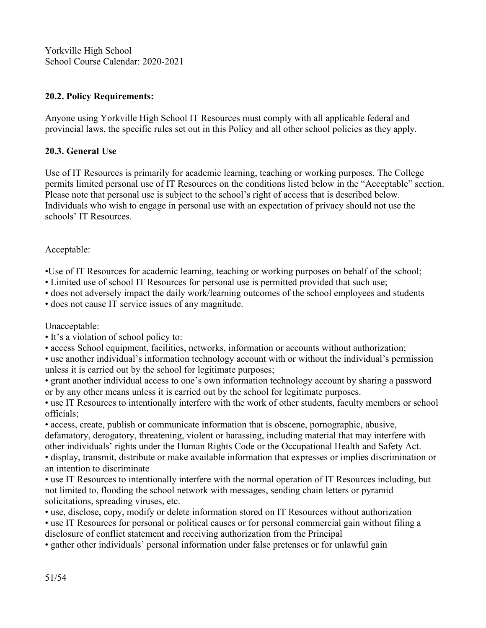#### **20.2. Policy Requirements:**

Anyone using Yorkville High School IT Resources must comply with all applicable federal and provincial laws, the specific rules set out in this Policy and all other school policies as they apply.

#### **20.3. General Use**

Use of IT Resources is primarily for academic learning, teaching or working purposes. The College permits limited personal use of IT Resources on the conditions listed below in the "Acceptable" section. Please note that personal use is subject to the school's right of access that is described below. Individuals who wish to engage in personal use with an expectation of privacy should not use the schools' IT Resources.

#### Acceptable:

•Use of IT Resources for academic learning, teaching or working purposes on behalf of the school;<br>• Limited use of school IT Resources for personal use is permitted provided that such use;

• does not adversely impact the daily work/learning outcomes of the school employees and students

• does not cause IT service issues of any magnitude.<br>Unacceptable:

• It's a violation of school policy to:

• access School equipment, facilities, networks, information or accounts without authorization;

• use another individual's information technology account with or without the individual's permission unless it is carried out by the school for legitimate purposes;

• grant another individual access to one's own information technology account by sharing a password or by any other means unless it is carried out by the school for legitimate purposes.

• use IT Resources to intentionally interfere with the work of other students, faculty members or school officials;

• access, create, publish or communicate information that is obscene, pornographic, abusive, defamatory, derogatory, threatening, violent or harassing, including material that may interfere with other individuals' rights under the Human Rights Code or the Occupational Health and Safety Act.<br>• display, transmit, distribute or make available information that expresses or implies discrimination or

an intention to discriminate

• use IT Resources to intentionally interfere with the normal operation of IT Resources including, but not limited to, flooding the school network with messages, sending chain letters or pyramid solicitations, spreading viruses, etc.

• use, disclose, copy, modify or delete information stored on IT Resources without authorization

• use IT Resources for personal or political causes or for personal commercial gain without filing a disclosure of conflict statement and receiving authorization from the Principal

• gather other individuals' personal information under false pretenses or for unlawful gain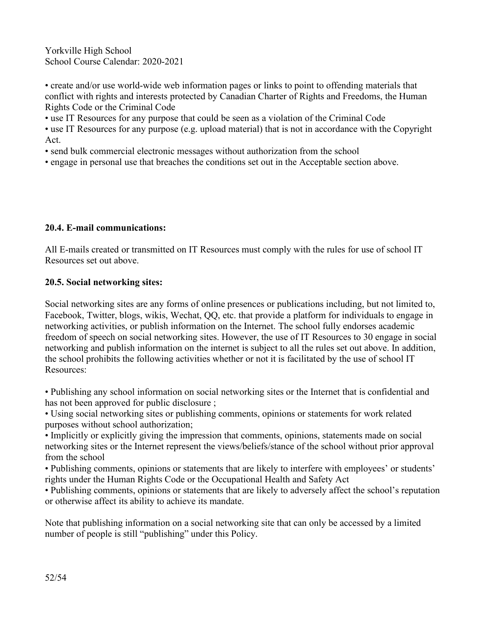• create and/or use world-wide web information pages or links to point to offending materials that conflict with rights and interests protected by Canadian Charter of Rights and Freedoms, the Human Rights Code or the Criminal Code

• use IT Resources for any purpose that could be seen as a violation of the Criminal Code

• use IT Resources for any purpose (e.g. upload material) that is not in accordance with the Copyright Act.

• send bulk commercial electronic messages without authorization from the school

• engage in personal use that breaches the conditions set out in the Acceptable section above.

#### **20.4. E-mail communications:**

All E-mails created or transmitted on IT Resources must comply with the rules for use of school IT Resources set out above.

#### **20.5. Social networking sites:**

Social networking sites are any forms of online presences or publications including, but not limited to, Facebook, Twitter, blogs, wikis, Wechat, QQ, etc. that provide a platform for individuals to engage in networking activities, or publish information on the Internet.The school fully endorses academic freedom of speech on social networking sites. However, the use of IT Resources to 30 engage in social networking and publish information on the internet is subject to all the rules set out above. In addition, the school prohibits the following activities whether or not it is facilitated by the use of school IT Resources:

• Publishing any school information on social networking sites or the Internet that is confidential and has not been approved for public disclosure ;

• Using social networking sites or publishing comments, opinions or statements for work related purposes without school authorization;

• Implicitly or explicitly giving the impression that comments, opinions, statements made on social networking sites orthe Internet represent the views/beliefs/stance of the school without prior approval from the school

• Publishing comments, opinions or statements that are likely to interfere with employees' or students' rights under the Human Rights Code or the Occupational Health and Safety Act

• Publishing comments, opinions or statements that are likely to adversely affect the school's reputation or otherwise affect its ability to achieve its mandate.

Note that publishing information on a social networking site that can only be accessed by a limited number of people is still "publishing" under this Policy.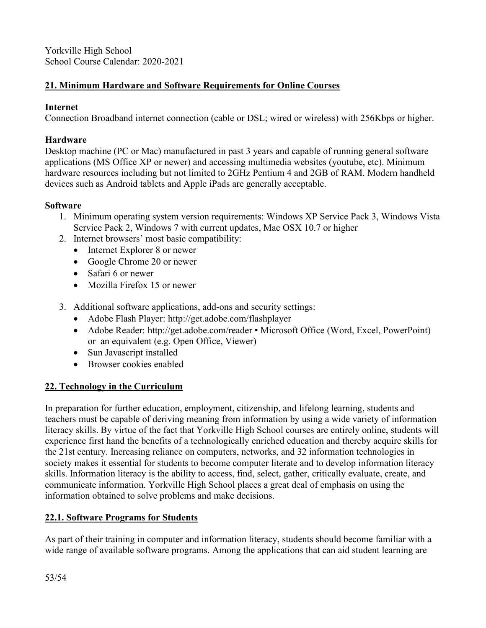# **21. Minimum Hardware and Software Requirements for Online Courses**

#### **Internet**

Connection Broadband internet connection (cable or DSL; wired or wireless) with 256Kbps or higher.

#### **Hardware**

Desktop machine (PC or Mac) manufactured in past 3 years and capable of running general software applications (MS Office XP or newer) and accessing multimedia websites (youtube, etc). Minimum hardware resources including but not limited to 2GHz Pentium 4 and 2GB of RAM. Modern handheld devices such as Android tablets and Apple iPads are generally acceptable.

#### **Software**

- 1. Minimum operating system version requirements: Windows XP Service Pack 3, Windows Vista Service Pack 2, Windows 7 with current updates, Mac OSX 10.7 or higher
- 2. Internet browsers' most basic compatibility:
	- Internet Explorer 8 or newer
	- Google Chrome 20 or newer
	- Safari 6 or newer
	- Mozilla Firefox 15 or newer
- 3. Additional software applications, add-ons and security settings:
	- Adobe Flash Player: http://get.adobe.com/flashplayer
	- Adobe Reader: http://get.adobe.com/reader Microsoft Office (Word, Excel, PowerPoint) or an equivalent (e.g. Open Office, Viewer)
	- $\bullet$  Sun Javascript installed
	- Browser cookies enabled

#### **22. Technology in the Curriculum**

In preparation for further education, employment, citizenship, and lifelong learning, students and teachers must be capable of deriving meaning from information by using a wide variety of information literacy skills. By virtue of the fact that Yorkville High School courses are entirely online, students will experience first hand the benefits of a technologically enriched education and thereby acquire skills for the 21st century. Increasing reliance on computers, networks, and 32 information technologies in society makes it essential for students to become computer literate and to develop information literacy skills. Information literacy is the ability to access, find, select, gather, critically evaluate, create, and communicate information. Yorkville High School places a great deal of emphasis on using the information obtained to solve problems and make decisions.

#### **22.1. Software Programs for Students**

As part of their training in computer and information literacy, students should become familiar with a wide range of available software programs. Among the applications that can aid student learning are